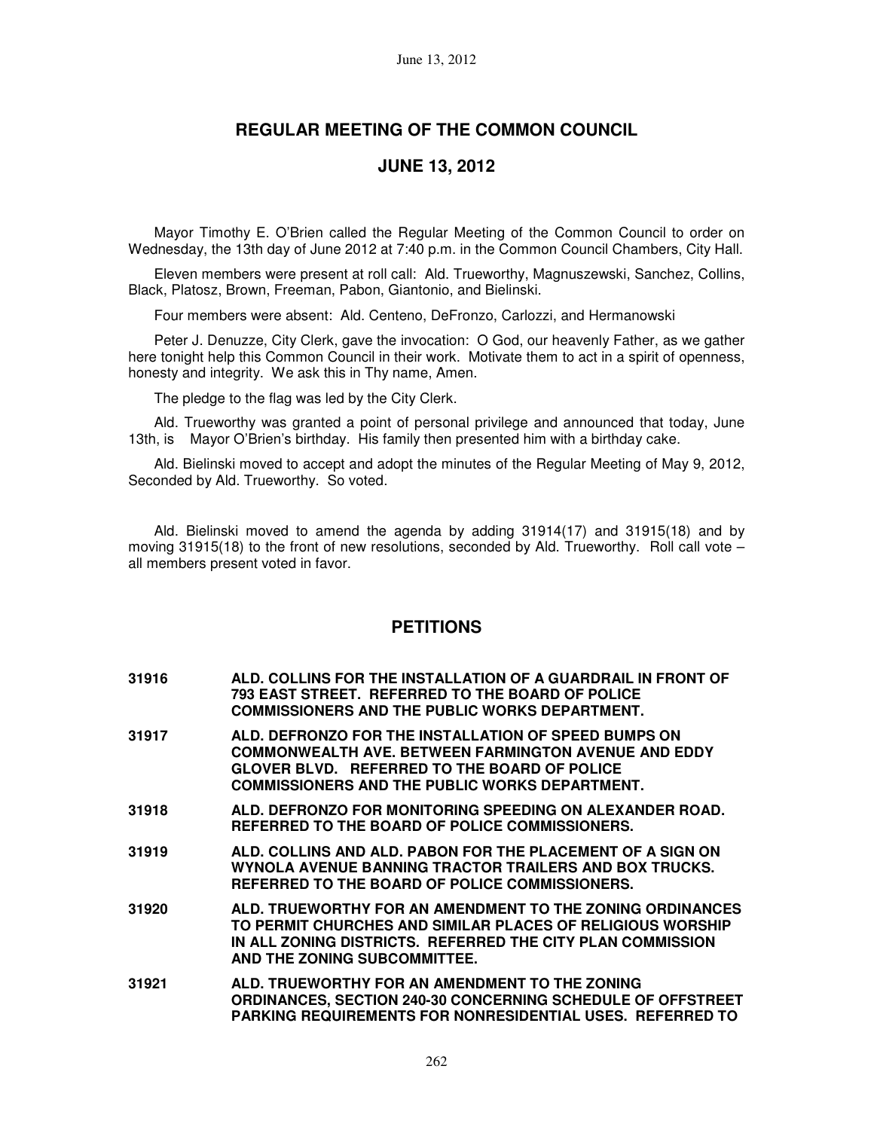# **REGULAR MEETING OF THE COMMON COUNCIL**

## **JUNE 13, 2012**

Mayor Timothy E. O'Brien called the Regular Meeting of the Common Council to order on Wednesday, the 13th day of June 2012 at 7:40 p.m. in the Common Council Chambers, City Hall.

Eleven members were present at roll call: Ald. Trueworthy, Magnuszewski, Sanchez, Collins, Black, Platosz, Brown, Freeman, Pabon, Giantonio, and Bielinski.

Four members were absent: Ald. Centeno, DeFronzo, Carlozzi, and Hermanowski

Peter J. Denuzze, City Clerk, gave the invocation: O God, our heavenly Father, as we gather here tonight help this Common Council in their work. Motivate them to act in a spirit of openness, honesty and integrity. We ask this in Thy name, Amen.

The pledge to the flag was led by the City Clerk.

Ald. Trueworthy was granted a point of personal privilege and announced that today, June 13th, is Mayor O'Brien's birthday. His family then presented him with a birthday cake.

Ald. Bielinski moved to accept and adopt the minutes of the Regular Meeting of May 9, 2012, Seconded by Ald. Trueworthy. So voted.

Ald. Bielinski moved to amend the agenda by adding 31914(17) and 31915(18) and by moving 31915(18) to the front of new resolutions, seconded by Ald. Trueworthy. Roll call vote  $$ all members present voted in favor.

## **PETITIONS**

| 31916 | ALD. COLLINS FOR THE INSTALLATION OF A GUARDRAIL IN FRONT OF |
|-------|--------------------------------------------------------------|
|       | 793 EAST STREET. REFERRED TO THE BOARD OF POLICE             |
|       | <b>COMMISSIONERS AND THE PUBLIC WORKS DEPARTMENT.</b>        |

- **31917 ALD. DEFRONZO FOR THE INSTALLATION OF SPEED BUMPS ON COMMONWEALTH AVE. BETWEEN FARMINGTON AVENUE AND EDDY GLOVER BLVD. REFERRED TO THE BOARD OF POLICE COMMISSIONERS AND THE PUBLIC WORKS DEPARTMENT.**
- **31918 ALD. DEFRONZO FOR MONITORING SPEEDING ON ALEXANDER ROAD. REFERRED TO THE BOARD OF POLICE COMMISSIONERS.**
- **31919 ALD. COLLINS AND ALD. PABON FOR THE PLACEMENT OF A SIGN ON WYNOLA AVENUE BANNING TRACTOR TRAILERS AND BOX TRUCKS. REFERRED TO THE BOARD OF POLICE COMMISSIONERS.**
- **31920 ALD. TRUEWORTHY FOR AN AMENDMENT TO THE ZONING ORDINANCES TO PERMIT CHURCHES AND SIMILAR PLACES OF RELIGIOUS WORSHIP IN ALL ZONING DISTRICTS. REFERRED THE CITY PLAN COMMISSION AND THE ZONING SUBCOMMITTEE.**
- **31921 ALD. TRUEWORTHY FOR AN AMENDMENT TO THE ZONING ORDINANCES, SECTION 240-30 CONCERNING SCHEDULE OF OFFSTREET PARKING REQUIREMENTS FOR NONRESIDENTIAL USES. REFERRED TO**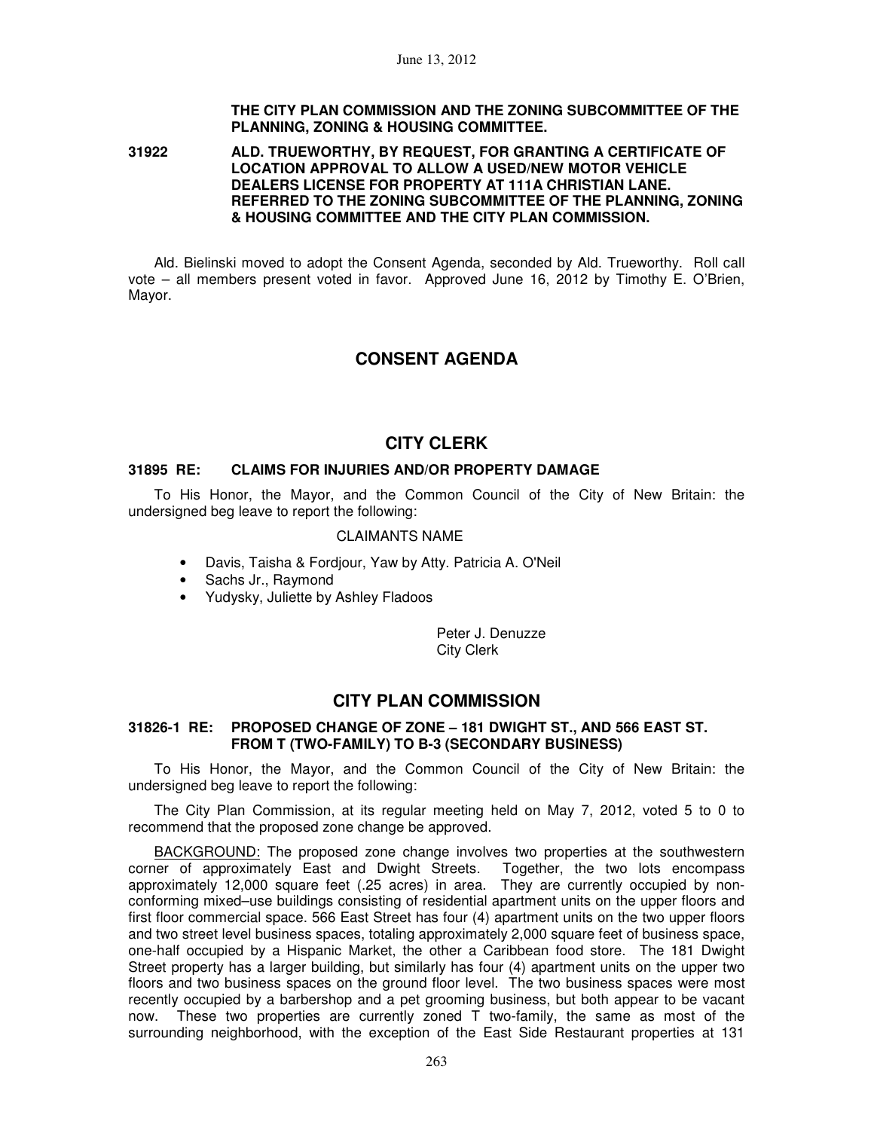### **THE CITY PLAN COMMISSION AND THE ZONING SUBCOMMITTEE OF THE PLANNING, ZONING & HOUSING COMMITTEE.**

#### **31922 ALD. TRUEWORTHY, BY REQUEST, FOR GRANTING A CERTIFICATE OF LOCATION APPROVAL TO ALLOW A USED/NEW MOTOR VEHICLE DEALERS LICENSE FOR PROPERTY AT 111A CHRISTIAN LANE. REFERRED TO THE ZONING SUBCOMMITTEE OF THE PLANNING, ZONING & HOUSING COMMITTEE AND THE CITY PLAN COMMISSION.**

Ald. Bielinski moved to adopt the Consent Agenda, seconded by Ald. Trueworthy. Roll call vote – all members present voted in favor. Approved June 16, 2012 by Timothy E. O'Brien, Mayor.

# **CONSENT AGENDA**

# **CITY CLERK**

### **31895 RE: CLAIMS FOR INJURIES AND/OR PROPERTY DAMAGE**

To His Honor, the Mayor, and the Common Council of the City of New Britain: the undersigned beg leave to report the following:

### CLAIMANTS NAME

- Davis, Taisha & Fordjour, Yaw by Atty. Patricia A. O'Neil
- Sachs Jr., Raymond
- Yudysky, Juliette by Ashley Fladoos

Peter J. Denuzze City Clerk

# **CITY PLAN COMMISSION**

### **31826-1 RE: PROPOSED CHANGE OF ZONE – 181 DWIGHT ST., AND 566 EAST ST. FROM T (TWO-FAMILY) TO B-3 (SECONDARY BUSINESS)**

To His Honor, the Mayor, and the Common Council of the City of New Britain: the undersigned beg leave to report the following:

The City Plan Commission, at its regular meeting held on May 7, 2012, voted 5 to 0 to recommend that the proposed zone change be approved.

BACKGROUND: The proposed zone change involves two properties at the southwestern corner of approximately East and Dwight Streets. Together, the two lots encompass approximately 12,000 square feet (.25 acres) in area. They are currently occupied by nonconforming mixed–use buildings consisting of residential apartment units on the upper floors and first floor commercial space. 566 East Street has four (4) apartment units on the two upper floors and two street level business spaces, totaling approximately 2,000 square feet of business space, one-half occupied by a Hispanic Market, the other a Caribbean food store. The 181 Dwight Street property has a larger building, but similarly has four (4) apartment units on the upper two floors and two business spaces on the ground floor level. The two business spaces were most recently occupied by a barbershop and a pet grooming business, but both appear to be vacant now. These two properties are currently zoned T two-family, the same as most of the surrounding neighborhood, with the exception of the East Side Restaurant properties at 131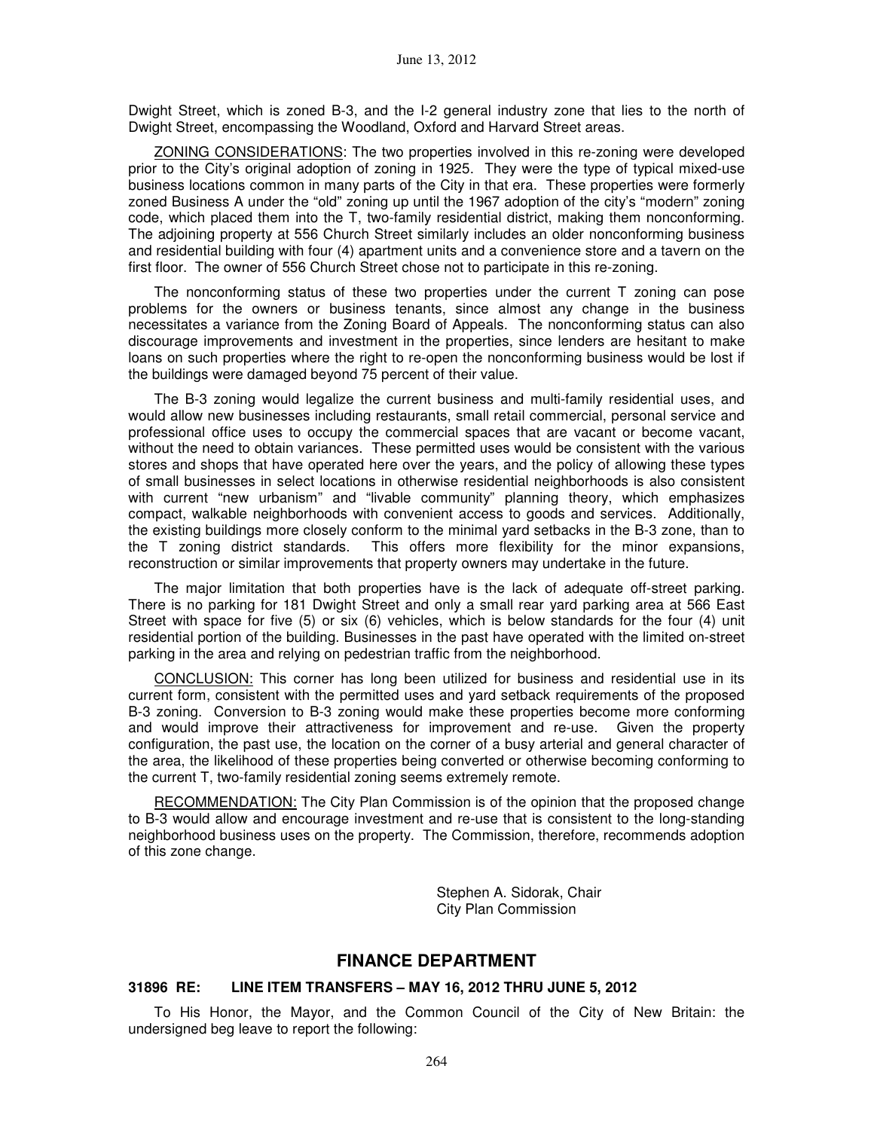Dwight Street, which is zoned B-3, and the I-2 general industry zone that lies to the north of Dwight Street, encompassing the Woodland, Oxford and Harvard Street areas.

ZONING CONSIDERATIONS: The two properties involved in this re-zoning were developed prior to the City's original adoption of zoning in 1925. They were the type of typical mixed-use business locations common in many parts of the City in that era. These properties were formerly zoned Business A under the "old" zoning up until the 1967 adoption of the city's "modern" zoning code, which placed them into the T, two-family residential district, making them nonconforming. The adjoining property at 556 Church Street similarly includes an older nonconforming business and residential building with four (4) apartment units and a convenience store and a tavern on the first floor. The owner of 556 Church Street chose not to participate in this re-zoning.

The nonconforming status of these two properties under the current T zoning can pose problems for the owners or business tenants, since almost any change in the business necessitates a variance from the Zoning Board of Appeals. The nonconforming status can also discourage improvements and investment in the properties, since lenders are hesitant to make loans on such properties where the right to re-open the nonconforming business would be lost if the buildings were damaged beyond 75 percent of their value.

The B-3 zoning would legalize the current business and multi-family residential uses, and would allow new businesses including restaurants, small retail commercial, personal service and professional office uses to occupy the commercial spaces that are vacant or become vacant, without the need to obtain variances. These permitted uses would be consistent with the various stores and shops that have operated here over the years, and the policy of allowing these types of small businesses in select locations in otherwise residential neighborhoods is also consistent with current "new urbanism" and "livable community" planning theory, which emphasizes compact, walkable neighborhoods with convenient access to goods and services. Additionally, the existing buildings more closely conform to the minimal yard setbacks in the B-3 zone, than to the T zoning district standards. This offers more flexibility for the minor expansions, reconstruction or similar improvements that property owners may undertake in the future.

The major limitation that both properties have is the lack of adequate off-street parking. There is no parking for 181 Dwight Street and only a small rear yard parking area at 566 East Street with space for five (5) or six (6) vehicles, which is below standards for the four (4) unit residential portion of the building. Businesses in the past have operated with the limited on-street parking in the area and relying on pedestrian traffic from the neighborhood.

CONCLUSION: This corner has long been utilized for business and residential use in its current form, consistent with the permitted uses and yard setback requirements of the proposed B-3 zoning. Conversion to B-3 zoning would make these properties become more conforming and would improve their attractiveness for improvement and re-use. Given the property configuration, the past use, the location on the corner of a busy arterial and general character of the area, the likelihood of these properties being converted or otherwise becoming conforming to the current T, two-family residential zoning seems extremely remote.

RECOMMENDATION: The City Plan Commission is of the opinion that the proposed change to B-3 would allow and encourage investment and re-use that is consistent to the long-standing neighborhood business uses on the property. The Commission, therefore, recommends adoption of this zone change.

> Stephen A. Sidorak, Chair City Plan Commission

# **FINANCE DEPARTMENT**

#### **31896 RE: LINE ITEM TRANSFERS – MAY 16, 2012 THRU JUNE 5, 2012**

To His Honor, the Mayor, and the Common Council of the City of New Britain: the undersigned beg leave to report the following: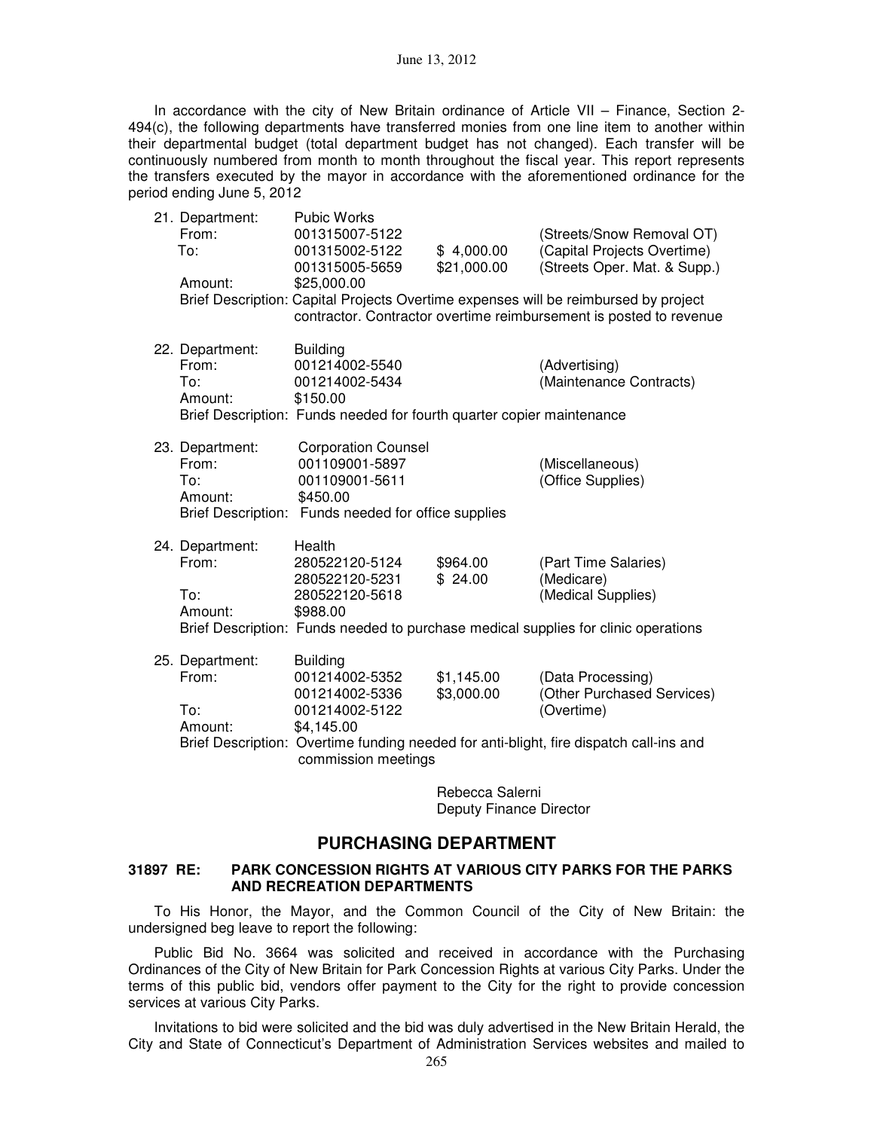In accordance with the city of New Britain ordinance of Article VII – Finance, Section 2-494(c), the following departments have transferred monies from one line item to another within their departmental budget (total department budget has not changed). Each transfer will be continuously numbered from month to month throughout the fiscal year. This report represents the transfers executed by the mayor in accordance with the aforementioned ordinance for the period ending June 5, 2012

| 21. Department:<br>From:<br>To:<br>Amount: | <b>Pubic Works</b><br>001315007-5122<br>001315002-5122<br>001315005-5659<br>\$25,000.00                                                  | \$4,000.00<br>\$21,000.00 | (Streets/Snow Removal OT)<br>(Capital Projects Overtime)<br>(Streets Oper. Mat. & Supp.)<br>Brief Description: Capital Projects Overtime expenses will be reimbursed by project<br>contractor. Contractor overtime reimbursement is posted to revenue |
|--------------------------------------------|------------------------------------------------------------------------------------------------------------------------------------------|---------------------------|-------------------------------------------------------------------------------------------------------------------------------------------------------------------------------------------------------------------------------------------------------|
| 22. Department:<br>From:<br>To:<br>Amount: | <b>Building</b><br>001214002-5540<br>001214002-5434<br>\$150.00<br>Brief Description: Funds needed for fourth quarter copier maintenance |                           | (Advertising)<br>(Maintenance Contracts)                                                                                                                                                                                                              |
| 23. Department:<br>From:<br>To:<br>Amount: | <b>Corporation Counsel</b><br>001109001-5897<br>001109001-5611<br>\$450.00<br>Brief Description: Funds needed for office supplies        |                           | (Miscellaneous)<br>(Office Supplies)                                                                                                                                                                                                                  |
| 24. Department:<br>From:<br>To:<br>Amount: | Health<br>280522120-5124<br>280522120-5231<br>280522120-5618<br>\$988.00                                                                 | \$964.00<br>\$24.00       | (Part Time Salaries)<br>(Medicare)<br>(Medical Supplies)<br>Brief Description: Funds needed to purchase medical supplies for clinic operations                                                                                                        |
| 25. Department:<br>From:<br>To:<br>Amount: | <b>Building</b><br>001214002-5352<br>001214002-5336<br>001214002-5122<br>\$4,145.00<br>commission meetings                               | \$1,145.00<br>\$3,000.00  | (Data Processing)<br>(Other Purchased Services)<br>(Overtime)<br>Brief Description: Overtime funding needed for anti-blight, fire dispatch call-ins and                                                                                               |

Rebecca Salerni Deputy Finance Director

### **PURCHASING DEPARTMENT**

#### **31897 RE: PARK CONCESSION RIGHTS AT VARIOUS CITY PARKS FOR THE PARKS AND RECREATION DEPARTMENTS**

To His Honor, the Mayor, and the Common Council of the City of New Britain: the undersigned beg leave to report the following:

Public Bid No. 3664 was solicited and received in accordance with the Purchasing Ordinances of the City of New Britain for Park Concession Rights at various City Parks. Under the terms of this public bid, vendors offer payment to the City for the right to provide concession services at various City Parks.

Invitations to bid were solicited and the bid was duly advertised in the New Britain Herald, the City and State of Connecticut's Department of Administration Services websites and mailed to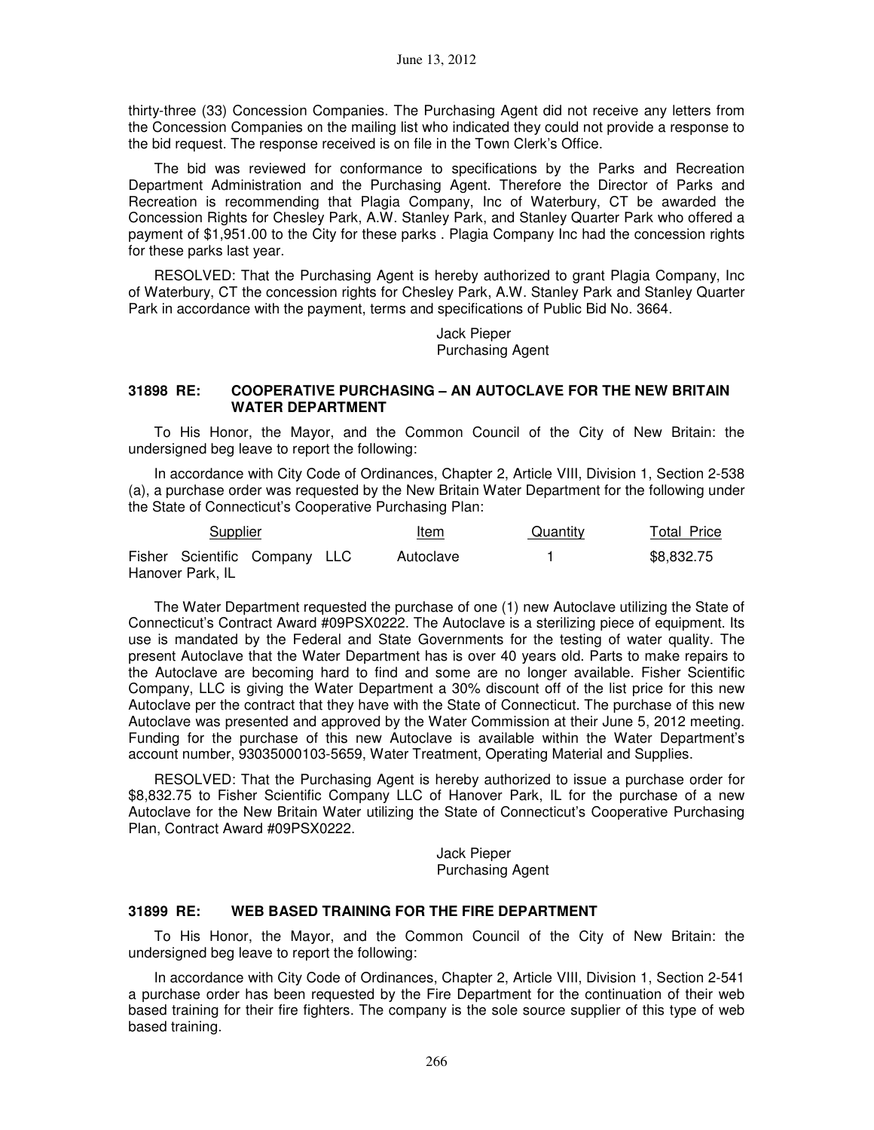thirty-three (33) Concession Companies. The Purchasing Agent did not receive any letters from the Concession Companies on the mailing list who indicated they could not provide a response to the bid request. The response received is on file in the Town Clerk's Office.

The bid was reviewed for conformance to specifications by the Parks and Recreation Department Administration and the Purchasing Agent. Therefore the Director of Parks and Recreation is recommending that Plagia Company, Inc of Waterbury, CT be awarded the Concession Rights for Chesley Park, A.W. Stanley Park, and Stanley Quarter Park who offered a payment of \$1,951.00 to the City for these parks . Plagia Company Inc had the concession rights for these parks last year.

RESOLVED: That the Purchasing Agent is hereby authorized to grant Plagia Company, Inc of Waterbury, CT the concession rights for Chesley Park, A.W. Stanley Park and Stanley Quarter Park in accordance with the payment, terms and specifications of Public Bid No. 3664.

> Jack Pieper Purchasing Agent

#### **31898 RE: COOPERATIVE PURCHASING – AN AUTOCLAVE FOR THE NEW BRITAIN WATER DEPARTMENT**

To His Honor, the Mayor, and the Common Council of the City of New Britain: the undersigned beg leave to report the following:

In accordance with City Code of Ordinances, Chapter 2, Article VIII, Division 1, Section 2-538 (a), a purchase order was requested by the New Britain Water Department for the following under the State of Connecticut's Cooperative Purchasing Plan:

| Supplier                                          |  | Item      | Quantity | <b>Total Price</b> |
|---------------------------------------------------|--|-----------|----------|--------------------|
| Fisher Scientific Company LLC<br>Hanover Park, IL |  | Autoclave |          | \$8,832.75         |

The Water Department requested the purchase of one (1) new Autoclave utilizing the State of Connecticut's Contract Award #09PSX0222. The Autoclave is a sterilizing piece of equipment. Its use is mandated by the Federal and State Governments for the testing of water quality. The present Autoclave that the Water Department has is over 40 years old. Parts to make repairs to the Autoclave are becoming hard to find and some are no longer available. Fisher Scientific Company, LLC is giving the Water Department a 30% discount off of the list price for this new Autoclave per the contract that they have with the State of Connecticut. The purchase of this new Autoclave was presented and approved by the Water Commission at their June 5, 2012 meeting. Funding for the purchase of this new Autoclave is available within the Water Department's account number, 93035000103-5659, Water Treatment, Operating Material and Supplies.

RESOLVED: That the Purchasing Agent is hereby authorized to issue a purchase order for \$8,832.75 to Fisher Scientific Company LLC of Hanover Park, IL for the purchase of a new Autoclave for the New Britain Water utilizing the State of Connecticut's Cooperative Purchasing Plan, Contract Award #09PSX0222.

> Jack Pieper Purchasing Agent

### **31899 RE: WEB BASED TRAINING FOR THE FIRE DEPARTMENT**

To His Honor, the Mayor, and the Common Council of the City of New Britain: the undersigned beg leave to report the following:

In accordance with City Code of Ordinances, Chapter 2, Article VIII, Division 1, Section 2-541 a purchase order has been requested by the Fire Department for the continuation of their web based training for their fire fighters. The company is the sole source supplier of this type of web based training.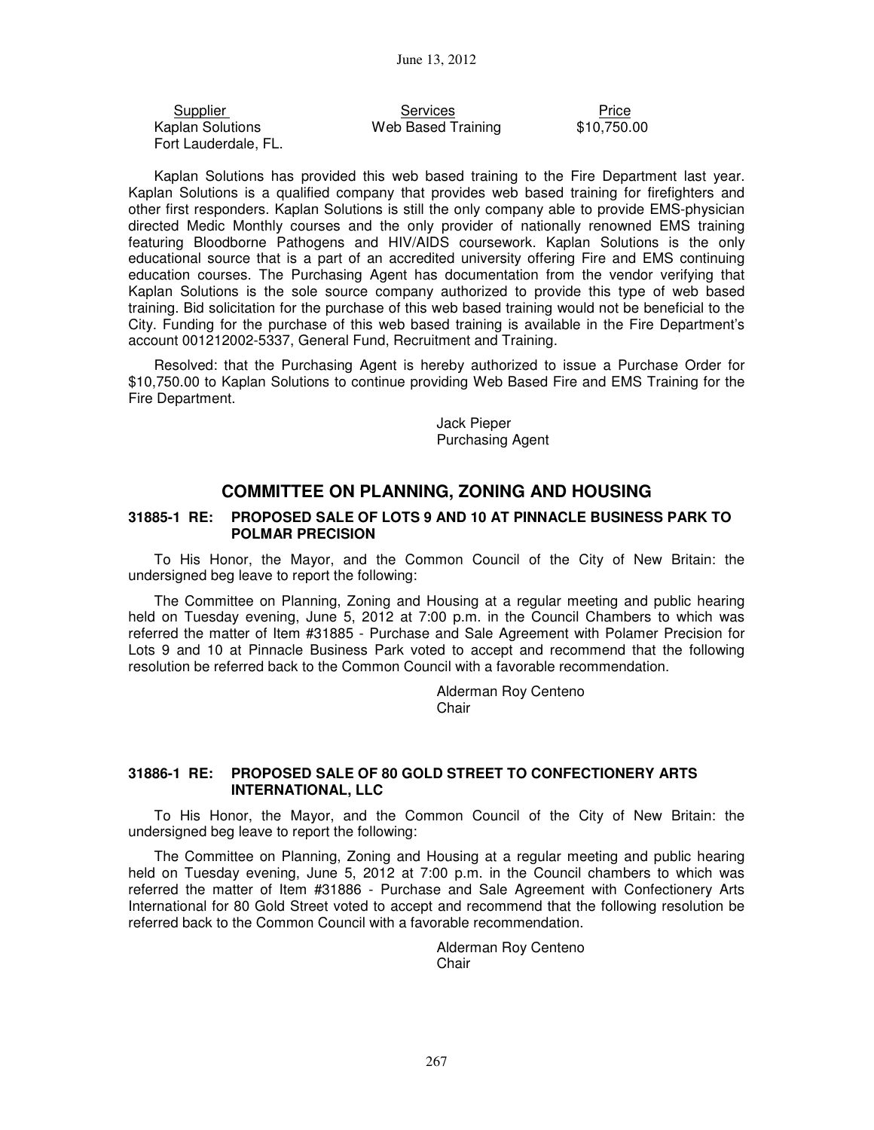Kaplan Solutions Web Based Training Fort Lauderdale, FL.

Eupplier Services Services<br>
Price Solutions Meb Based Training \$10,750.00

Kaplan Solutions has provided this web based training to the Fire Department last year. Kaplan Solutions is a qualified company that provides web based training for firefighters and other first responders. Kaplan Solutions is still the only company able to provide EMS-physician directed Medic Monthly courses and the only provider of nationally renowned EMS training featuring Bloodborne Pathogens and HIV/AIDS coursework. Kaplan Solutions is the only educational source that is a part of an accredited university offering Fire and EMS continuing education courses. The Purchasing Agent has documentation from the vendor verifying that Kaplan Solutions is the sole source company authorized to provide this type of web based training. Bid solicitation for the purchase of this web based training would not be beneficial to the City. Funding for the purchase of this web based training is available in the Fire Department's account 001212002-5337, General Fund, Recruitment and Training.

Resolved: that the Purchasing Agent is hereby authorized to issue a Purchase Order for \$10,750.00 to Kaplan Solutions to continue providing Web Based Fire and EMS Training for the Fire Department.

> Jack Pieper Purchasing Agent

# **COMMITTEE ON PLANNING, ZONING AND HOUSING**

### **31885-1 RE: PROPOSED SALE OF LOTS 9 AND 10 AT PINNACLE BUSINESS PARK TO POLMAR PRECISION**

To His Honor, the Mayor, and the Common Council of the City of New Britain: the undersigned beg leave to report the following:

The Committee on Planning, Zoning and Housing at a regular meeting and public hearing held on Tuesday evening, June 5, 2012 at 7:00 p.m. in the Council Chambers to which was referred the matter of Item #31885 - Purchase and Sale Agreement with Polamer Precision for Lots 9 and 10 at Pinnacle Business Park voted to accept and recommend that the following resolution be referred back to the Common Council with a favorable recommendation.

> Alderman Roy Centeno **Chair**

### **31886-1 RE: PROPOSED SALE OF 80 GOLD STREET TO CONFECTIONERY ARTS INTERNATIONAL, LLC**

To His Honor, the Mayor, and the Common Council of the City of New Britain: the undersigned beg leave to report the following:

The Committee on Planning, Zoning and Housing at a regular meeting and public hearing held on Tuesday evening, June 5, 2012 at 7:00 p.m. in the Council chambers to which was referred the matter of Item #31886 - Purchase and Sale Agreement with Confectionery Arts International for 80 Gold Street voted to accept and recommend that the following resolution be referred back to the Common Council with a favorable recommendation.

> Alderman Roy Centeno **Chair**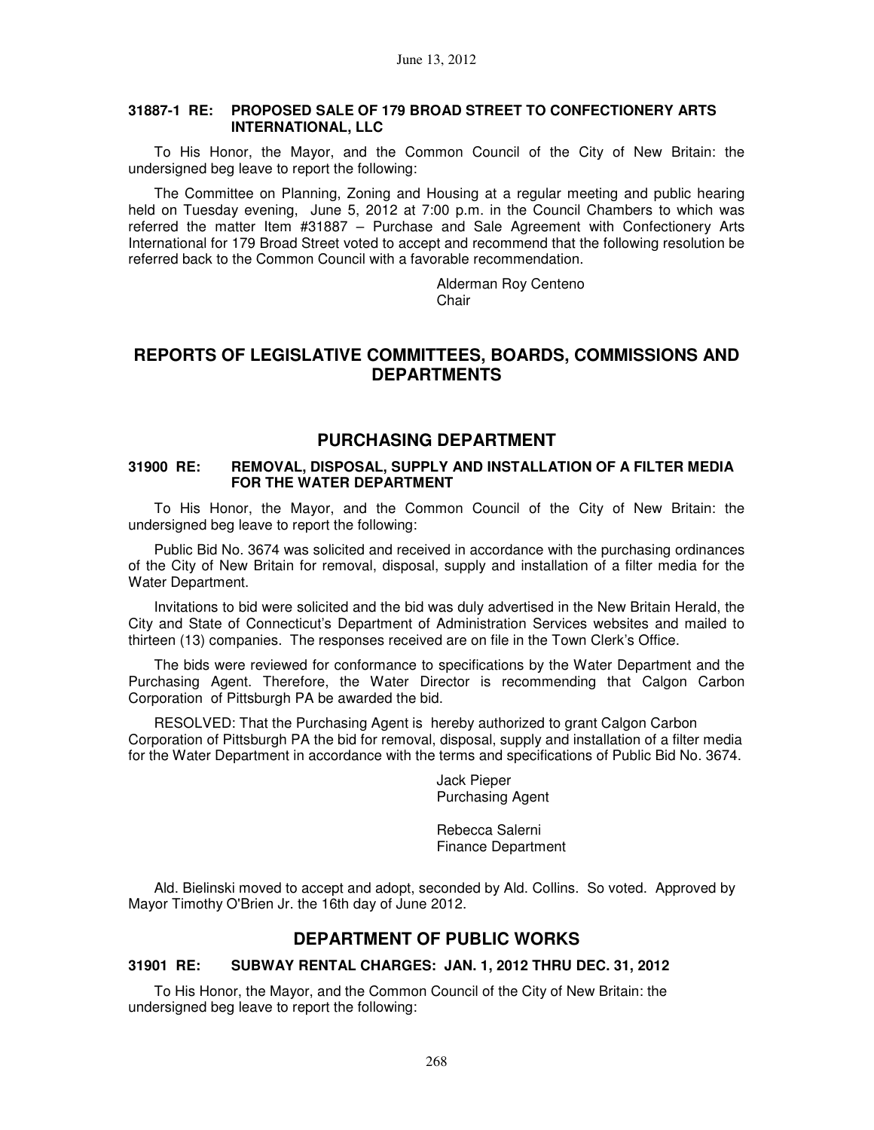### **31887-1 RE: PROPOSED SALE OF 179 BROAD STREET TO CONFECTIONERY ARTS INTERNATIONAL, LLC**

To His Honor, the Mayor, and the Common Council of the City of New Britain: the undersigned beg leave to report the following:

The Committee on Planning, Zoning and Housing at a regular meeting and public hearing held on Tuesday evening, June 5, 2012 at 7:00 p.m. in the Council Chambers to which was referred the matter Item #31887 – Purchase and Sale Agreement with Confectionery Arts International for 179 Broad Street voted to accept and recommend that the following resolution be referred back to the Common Council with a favorable recommendation.

> Alderman Roy Centeno Chair

# **REPORTS OF LEGISLATIVE COMMITTEES, BOARDS, COMMISSIONS AND DEPARTMENTS**

## **PURCHASING DEPARTMENT**

#### **31900 RE: REMOVAL, DISPOSAL, SUPPLY AND INSTALLATION OF A FILTER MEDIA FOR THE WATER DEPARTMENT**

To His Honor, the Mayor, and the Common Council of the City of New Britain: the undersigned beg leave to report the following:

Public Bid No. 3674 was solicited and received in accordance with the purchasing ordinances of the City of New Britain for removal, disposal, supply and installation of a filter media for the Water Department.

Invitations to bid were solicited and the bid was duly advertised in the New Britain Herald, the City and State of Connecticut's Department of Administration Services websites and mailed to thirteen (13) companies. The responses received are on file in the Town Clerk's Office.

The bids were reviewed for conformance to specifications by the Water Department and the Purchasing Agent. Therefore, the Water Director is recommending that Calgon Carbon Corporation of Pittsburgh PA be awarded the bid.

RESOLVED: That the Purchasing Agent is hereby authorized to grant Calgon Carbon Corporation of Pittsburgh PA the bid for removal, disposal, supply and installation of a filter media for the Water Department in accordance with the terms and specifications of Public Bid No. 3674.

> Jack Pieper Purchasing Agent

Rebecca Salerni Finance Department

Ald. Bielinski moved to accept and adopt, seconded by Ald. Collins. So voted. Approved by Mayor Timothy O'Brien Jr. the 16th day of June 2012.

## **DEPARTMENT OF PUBLIC WORKS**

### **31901 RE: SUBWAY RENTAL CHARGES: JAN. 1, 2012 THRU DEC. 31, 2012**

To His Honor, the Mayor, and the Common Council of the City of New Britain: the undersigned beg leave to report the following: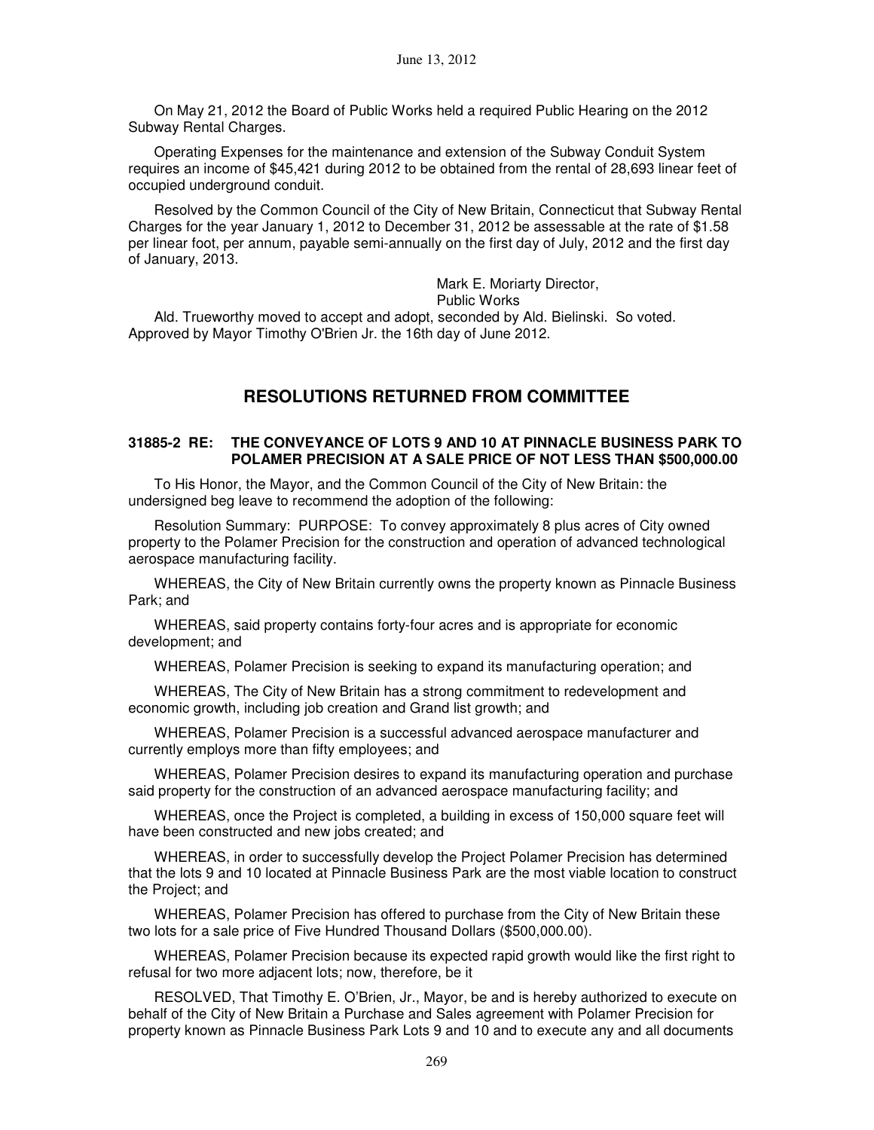On May 21, 2012 the Board of Public Works held a required Public Hearing on the 2012 Subway Rental Charges.

Operating Expenses for the maintenance and extension of the Subway Conduit System requires an income of \$45,421 during 2012 to be obtained from the rental of 28,693 linear feet of occupied underground conduit.

Resolved by the Common Council of the City of New Britain, Connecticut that Subway Rental Charges for the year January 1, 2012 to December 31, 2012 be assessable at the rate of \$1.58 per linear foot, per annum, payable semi-annually on the first day of July, 2012 and the first day of January, 2013.

Mark E. Moriarty Director,

Public Works

Ald. Trueworthy moved to accept and adopt, seconded by Ald. Bielinski. So voted. Approved by Mayor Timothy O'Brien Jr. the 16th day of June 2012.

# **RESOLUTIONS RETURNED FROM COMMITTEE**

#### **31885-2 RE: THE CONVEYANCE OF LOTS 9 AND 10 AT PINNACLE BUSINESS PARK TO POLAMER PRECISION AT A SALE PRICE OF NOT LESS THAN \$500,000.00**

To His Honor, the Mayor, and the Common Council of the City of New Britain: the undersigned beg leave to recommend the adoption of the following:

Resolution Summary: PURPOSE: To convey approximately 8 plus acres of City owned property to the Polamer Precision for the construction and operation of advanced technological aerospace manufacturing facility.

WHEREAS, the City of New Britain currently owns the property known as Pinnacle Business Park; and

WHEREAS, said property contains forty-four acres and is appropriate for economic development; and

WHEREAS, Polamer Precision is seeking to expand its manufacturing operation; and

WHEREAS, The City of New Britain has a strong commitment to redevelopment and economic growth, including job creation and Grand list growth; and

WHEREAS, Polamer Precision is a successful advanced aerospace manufacturer and currently employs more than fifty employees; and

WHEREAS, Polamer Precision desires to expand its manufacturing operation and purchase said property for the construction of an advanced aerospace manufacturing facility; and

WHEREAS, once the Project is completed, a building in excess of 150,000 square feet will have been constructed and new jobs created; and

WHEREAS, in order to successfully develop the Project Polamer Precision has determined that the lots 9 and 10 located at Pinnacle Business Park are the most viable location to construct the Project; and

WHEREAS, Polamer Precision has offered to purchase from the City of New Britain these two lots for a sale price of Five Hundred Thousand Dollars (\$500,000.00).

WHEREAS, Polamer Precision because its expected rapid growth would like the first right to refusal for two more adjacent lots; now, therefore, be it

RESOLVED, That Timothy E. O'Brien, Jr., Mayor, be and is hereby authorized to execute on behalf of the City of New Britain a Purchase and Sales agreement with Polamer Precision for property known as Pinnacle Business Park Lots 9 and 10 and to execute any and all documents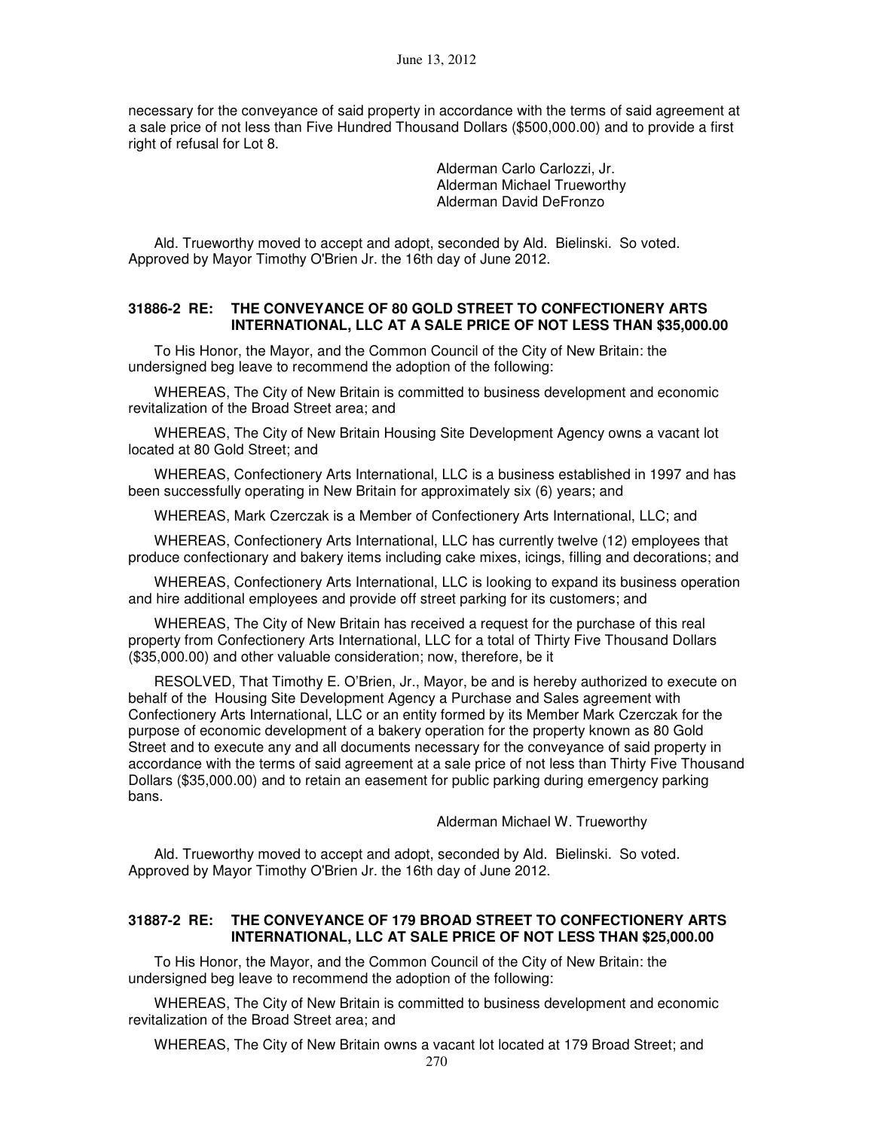necessary for the conveyance of said property in accordance with the terms of said agreement at a sale price of not less than Five Hundred Thousand Dollars (\$500,000.00) and to provide a first right of refusal for Lot 8.

> Alderman Carlo Carlozzi, Jr. Alderman Michael Trueworthy Alderman David DeFronzo

Ald. Trueworthy moved to accept and adopt, seconded by Ald. Bielinski. So voted. Approved by Mayor Timothy O'Brien Jr. the 16th day of June 2012.

### **31886-2 RE: THE CONVEYANCE OF 80 GOLD STREET TO CONFECTIONERY ARTS INTERNATIONAL, LLC AT A SALE PRICE OF NOT LESS THAN \$35,000.00**

To His Honor, the Mayor, and the Common Council of the City of New Britain: the undersigned beg leave to recommend the adoption of the following:

WHEREAS, The City of New Britain is committed to business development and economic revitalization of the Broad Street area; and

WHEREAS, The City of New Britain Housing Site Development Agency owns a vacant lot located at 80 Gold Street; and

WHEREAS, Confectionery Arts International, LLC is a business established in 1997 and has been successfully operating in New Britain for approximately six (6) years; and

WHEREAS, Mark Czerczak is a Member of Confectionery Arts International, LLC; and

WHEREAS, Confectionery Arts International, LLC has currently twelve (12) employees that produce confectionary and bakery items including cake mixes, icings, filling and decorations; and

WHEREAS, Confectionery Arts International, LLC is looking to expand its business operation and hire additional employees and provide off street parking for its customers; and

WHEREAS, The City of New Britain has received a request for the purchase of this real property from Confectionery Arts International, LLC for a total of Thirty Five Thousand Dollars (\$35,000.00) and other valuable consideration; now, therefore, be it

RESOLVED, That Timothy E. O'Brien, Jr., Mayor, be and is hereby authorized to execute on behalf of the Housing Site Development Agency a Purchase and Sales agreement with Confectionery Arts International, LLC or an entity formed by its Member Mark Czerczak for the purpose of economic development of a bakery operation for the property known as 80 Gold Street and to execute any and all documents necessary for the conveyance of said property in accordance with the terms of said agreement at a sale price of not less than Thirty Five Thousand Dollars (\$35,000.00) and to retain an easement for public parking during emergency parking bans.

Alderman Michael W. Trueworthy

Ald. Trueworthy moved to accept and adopt, seconded by Ald. Bielinski. So voted. Approved by Mayor Timothy O'Brien Jr. the 16th day of June 2012.

### **31887-2 RE: THE CONVEYANCE OF 179 BROAD STREET TO CONFECTIONERY ARTS INTERNATIONAL, LLC AT SALE PRICE OF NOT LESS THAN \$25,000.00**

To His Honor, the Mayor, and the Common Council of the City of New Britain: the undersigned beg leave to recommend the adoption of the following:

WHEREAS, The City of New Britain is committed to business development and economic revitalization of the Broad Street area; and

WHEREAS, The City of New Britain owns a vacant lot located at 179 Broad Street; and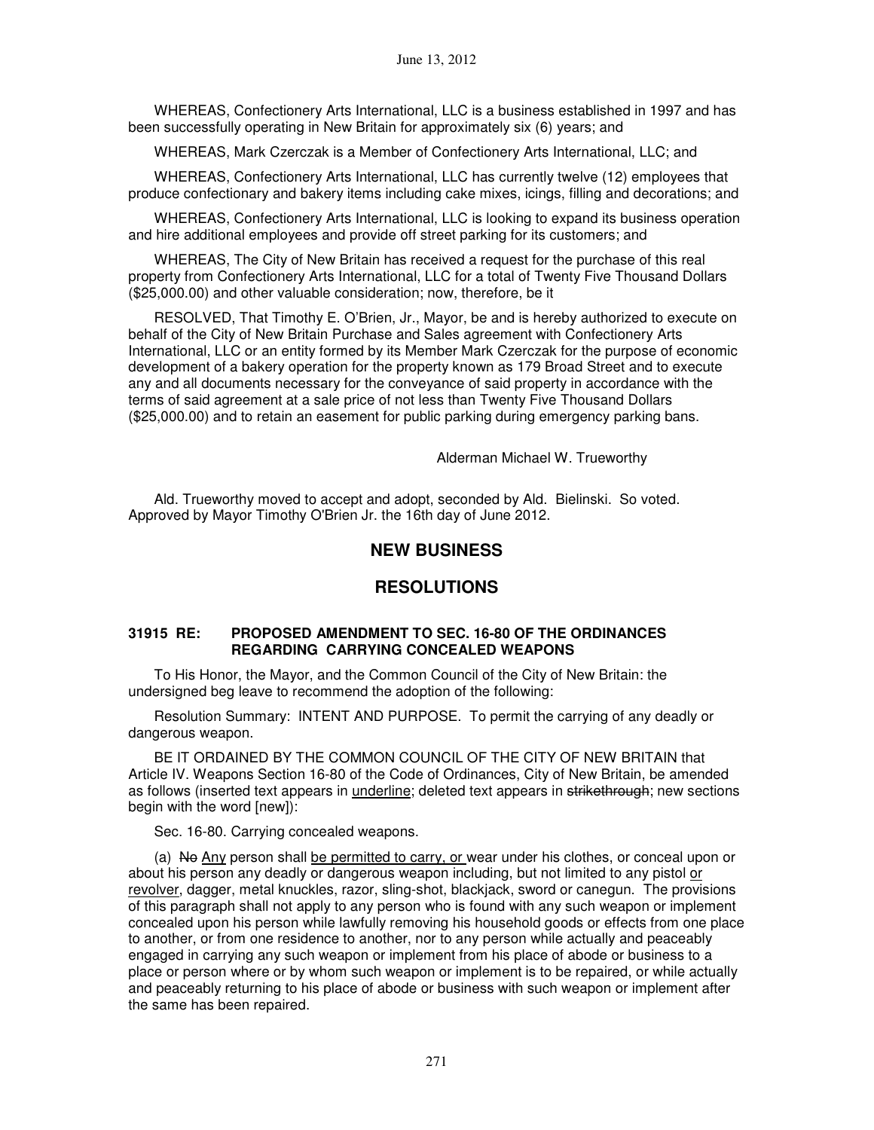WHEREAS, Confectionery Arts International, LLC is a business established in 1997 and has been successfully operating in New Britain for approximately six (6) years; and

WHEREAS, Mark Czerczak is a Member of Confectionery Arts International, LLC; and

WHEREAS, Confectionery Arts International, LLC has currently twelve (12) employees that produce confectionary and bakery items including cake mixes, icings, filling and decorations; and

WHEREAS, Confectionery Arts International, LLC is looking to expand its business operation and hire additional employees and provide off street parking for its customers; and

WHEREAS, The City of New Britain has received a request for the purchase of this real property from Confectionery Arts International, LLC for a total of Twenty Five Thousand Dollars (\$25,000.00) and other valuable consideration; now, therefore, be it

RESOLVED, That Timothy E. O'Brien, Jr., Mayor, be and is hereby authorized to execute on behalf of the City of New Britain Purchase and Sales agreement with Confectionery Arts International, LLC or an entity formed by its Member Mark Czerczak for the purpose of economic development of a bakery operation for the property known as 179 Broad Street and to execute any and all documents necessary for the conveyance of said property in accordance with the terms of said agreement at a sale price of not less than Twenty Five Thousand Dollars (\$25,000.00) and to retain an easement for public parking during emergency parking bans.

### Alderman Michael W. Trueworthy

Ald. Trueworthy moved to accept and adopt, seconded by Ald. Bielinski. So voted. Approved by Mayor Timothy O'Brien Jr. the 16th day of June 2012.

# **NEW BUSINESS**

# **RESOLUTIONS**

### **31915 RE: PROPOSED AMENDMENT TO SEC. 16-80 OF THE ORDINANCES REGARDING CARRYING CONCEALED WEAPONS**

To His Honor, the Mayor, and the Common Council of the City of New Britain: the undersigned beg leave to recommend the adoption of the following:

Resolution Summary: INTENT AND PURPOSE. To permit the carrying of any deadly or dangerous weapon.

BE IT ORDAINED BY THE COMMON COUNCIL OF THE CITY OF NEW BRITAIN that Article IV. Weapons Section 16-80 of the Code of Ordinances, City of New Britain, be amended as follows (inserted text appears in underline; deleted text appears in strikethrough; new sections begin with the word [new]):

Sec. 16-80. Carrying concealed weapons.

(a) No Any person shall be permitted to carry, or wear under his clothes, or conceal upon or about his person any deadly or dangerous weapon including, but not limited to any pistol or revolver, dagger, metal knuckles, razor, sling-shot, blackjack, sword or canegun. The provisions of this paragraph shall not apply to any person who is found with any such weapon or implement concealed upon his person while lawfully removing his household goods or effects from one place to another, or from one residence to another, nor to any person while actually and peaceably engaged in carrying any such weapon or implement from his place of abode or business to a place or person where or by whom such weapon or implement is to be repaired, or while actually and peaceably returning to his place of abode or business with such weapon or implement after the same has been repaired.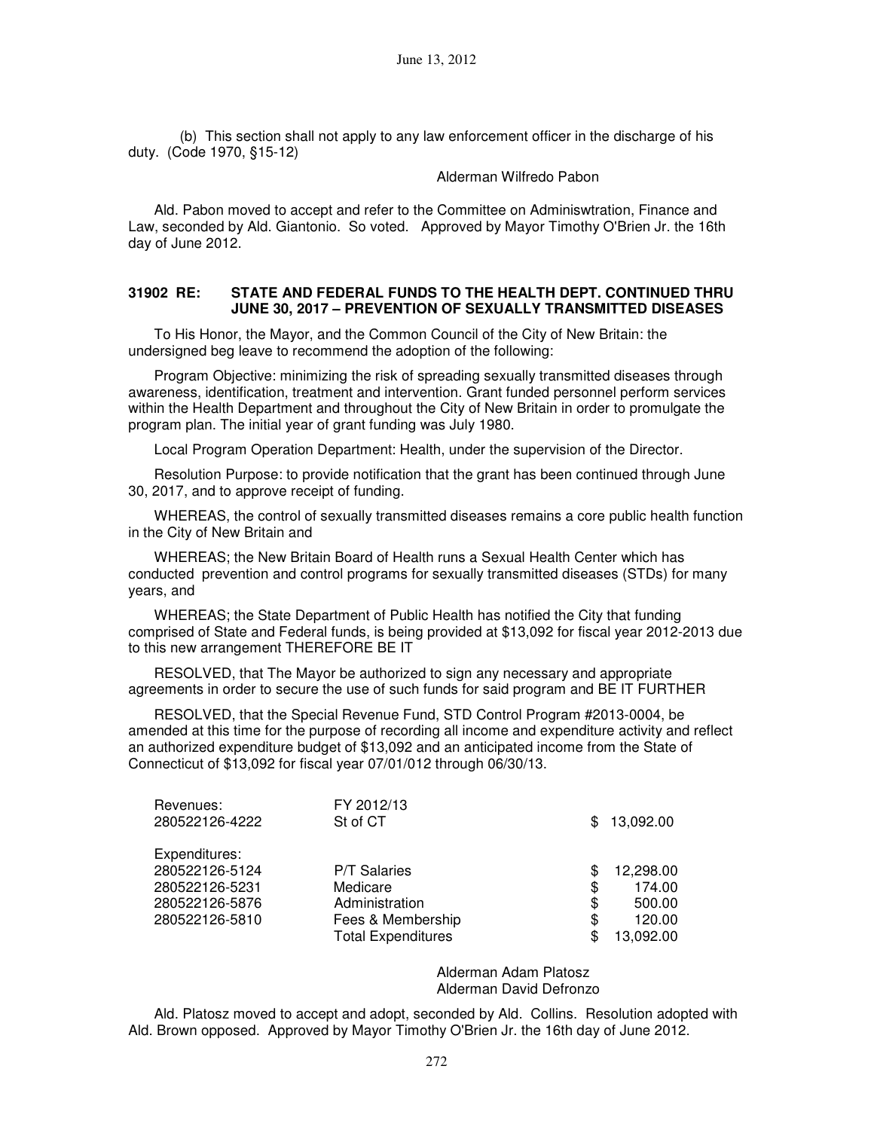(b) This section shall not apply to any law enforcement officer in the discharge of his duty. (Code 1970, §15-12)

#### Alderman Wilfredo Pabon

Ald. Pabon moved to accept and refer to the Committee on Adminiswtration, Finance and Law, seconded by Ald. Giantonio. So voted. Approved by Mayor Timothy O'Brien Jr. the 16th day of June 2012.

#### **31902 RE: STATE AND FEDERAL FUNDS TO THE HEALTH DEPT. CONTINUED THRU JUNE 30, 2017 – PREVENTION OF SEXUALLY TRANSMITTED DISEASES**

To His Honor, the Mayor, and the Common Council of the City of New Britain: the undersigned beg leave to recommend the adoption of the following:

Program Objective: minimizing the risk of spreading sexually transmitted diseases through awareness, identification, treatment and intervention. Grant funded personnel perform services within the Health Department and throughout the City of New Britain in order to promulgate the program plan. The initial year of grant funding was July 1980.

Local Program Operation Department: Health, under the supervision of the Director.

Resolution Purpose: to provide notification that the grant has been continued through June 30, 2017, and to approve receipt of funding.

WHEREAS, the control of sexually transmitted diseases remains a core public health function in the City of New Britain and

WHEREAS; the New Britain Board of Health runs a Sexual Health Center which has conducted prevention and control programs for sexually transmitted diseases (STDs) for many years, and

WHEREAS; the State Department of Public Health has notified the City that funding comprised of State and Federal funds, is being provided at \$13,092 for fiscal year 2012-2013 due to this new arrangement THEREFORE BE IT

RESOLVED, that The Mayor be authorized to sign any necessary and appropriate agreements in order to secure the use of such funds for said program and BE IT FURTHER

RESOLVED, that the Special Revenue Fund, STD Control Program #2013-0004, be amended at this time for the purpose of recording all income and expenditure activity and reflect an authorized expenditure budget of \$13,092 and an anticipated income from the State of Connecticut of \$13,092 for fiscal year 07/01/012 through 06/30/13.

| Revenues:<br>280522126-4222 | FY 2012/13<br>St of CT    | \$  | 13,092.00 |
|-----------------------------|---------------------------|-----|-----------|
| Expenditures:               |                           |     |           |
| 280522126-5124              | <b>P/T Salaries</b>       | S   | 12,298.00 |
| 280522126-5231              | Medicare                  | \$  | 174.00    |
| 280522126-5876              | Administration            | \$  | 500.00    |
| 280522126-5810              | Fees & Membership         | \$  | 120.00    |
|                             | <b>Total Expenditures</b> | \$. | 13,092.00 |
|                             |                           |     |           |

Alderman Adam Platosz Alderman David Defronzo

Ald. Platosz moved to accept and adopt, seconded by Ald. Collins. Resolution adopted with Ald. Brown opposed. Approved by Mayor Timothy O'Brien Jr. the 16th day of June 2012.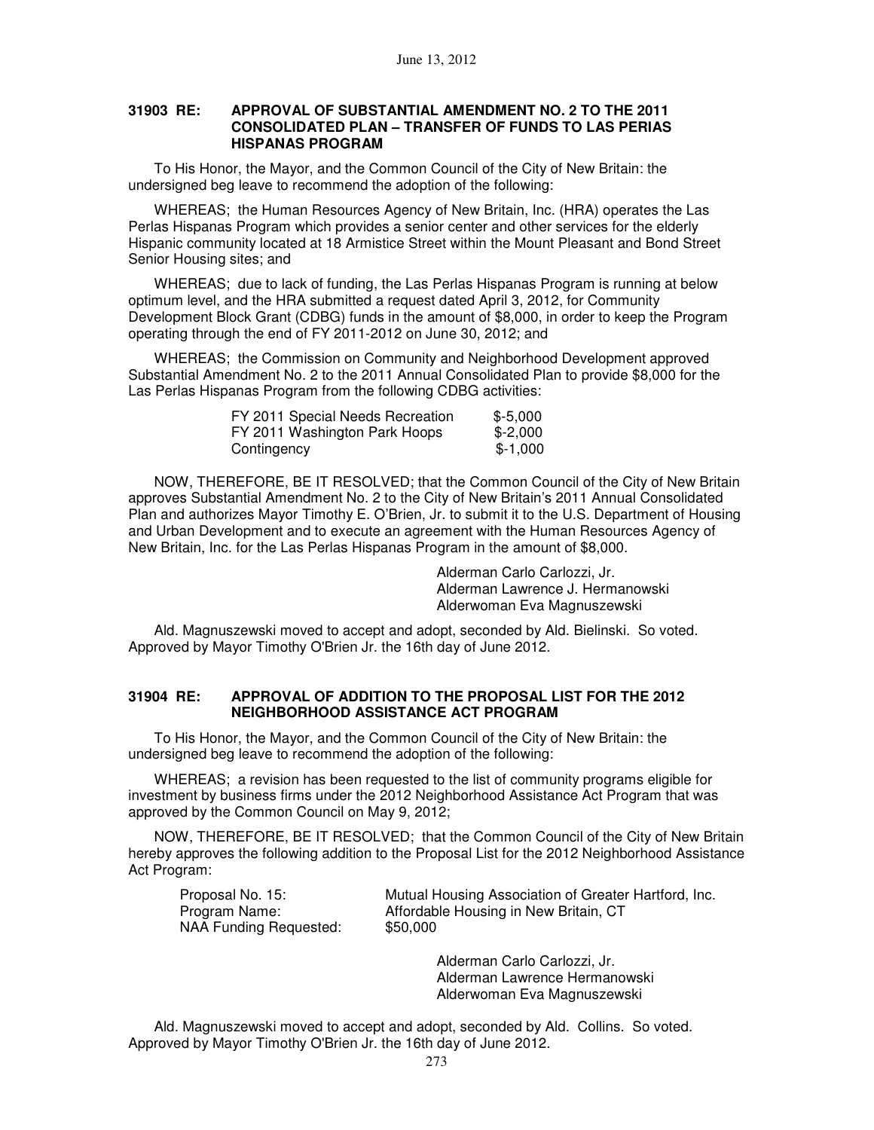### **31903 RE: APPROVAL OF SUBSTANTIAL AMENDMENT NO. 2 TO THE 2011 CONSOLIDATED PLAN – TRANSFER OF FUNDS TO LAS PERIAS HISPANAS PROGRAM**

To His Honor, the Mayor, and the Common Council of the City of New Britain: the undersigned beg leave to recommend the adoption of the following:

WHEREAS; the Human Resources Agency of New Britain, Inc. (HRA) operates the Las Perlas Hispanas Program which provides a senior center and other services for the elderly Hispanic community located at 18 Armistice Street within the Mount Pleasant and Bond Street Senior Housing sites; and

WHEREAS; due to lack of funding, the Las Perlas Hispanas Program is running at below optimum level, and the HRA submitted a request dated April 3, 2012, for Community Development Block Grant (CDBG) funds in the amount of \$8,000, in order to keep the Program operating through the end of FY 2011-2012 on June 30, 2012; and

WHEREAS; the Commission on Community and Neighborhood Development approved Substantial Amendment No. 2 to the 2011 Annual Consolidated Plan to provide \$8,000 for the Las Perlas Hispanas Program from the following CDBG activities:

| FY 2011 Special Needs Recreation | $$-5.000$ |
|----------------------------------|-----------|
| FY 2011 Washington Park Hoops    | $$-2.000$ |
| Contingency                      | $$-1.000$ |

NOW, THEREFORE, BE IT RESOLVED; that the Common Council of the City of New Britain approves Substantial Amendment No. 2 to the City of New Britain's 2011 Annual Consolidated Plan and authorizes Mayor Timothy E. O'Brien, Jr. to submit it to the U.S. Department of Housing and Urban Development and to execute an agreement with the Human Resources Agency of New Britain, Inc. for the Las Perlas Hispanas Program in the amount of \$8,000.

> Alderman Carlo Carlozzi, Jr. Alderman Lawrence J. Hermanowski Alderwoman Eva Magnuszewski

Ald. Magnuszewski moved to accept and adopt, seconded by Ald. Bielinski. So voted. Approved by Mayor Timothy O'Brien Jr. the 16th day of June 2012.

#### **31904 RE: APPROVAL OF ADDITION TO THE PROPOSAL LIST FOR THE 2012 NEIGHBORHOOD ASSISTANCE ACT PROGRAM**

To His Honor, the Mayor, and the Common Council of the City of New Britain: the undersigned beg leave to recommend the adoption of the following:

WHEREAS; a revision has been requested to the list of community programs eligible for investment by business firms under the 2012 Neighborhood Assistance Act Program that was approved by the Common Council on May 9, 2012;

NOW, THEREFORE, BE IT RESOLVED; that the Common Council of the City of New Britain hereby approves the following addition to the Proposal List for the 2012 Neighborhood Assistance Act Program:

| Proposal No. 15:       | Mutual Housing Association of Greater Hartford, Inc. |
|------------------------|------------------------------------------------------|
| Program Name:          | Affordable Housing in New Britain, CT                |
| NAA Funding Requested: | \$50,000                                             |
|                        |                                                      |

Alderman Carlo Carlozzi, Jr. Alderman Lawrence Hermanowski Alderwoman Eva Magnuszewski

Ald. Magnuszewski moved to accept and adopt, seconded by Ald. Collins. So voted. Approved by Mayor Timothy O'Brien Jr. the 16th day of June 2012.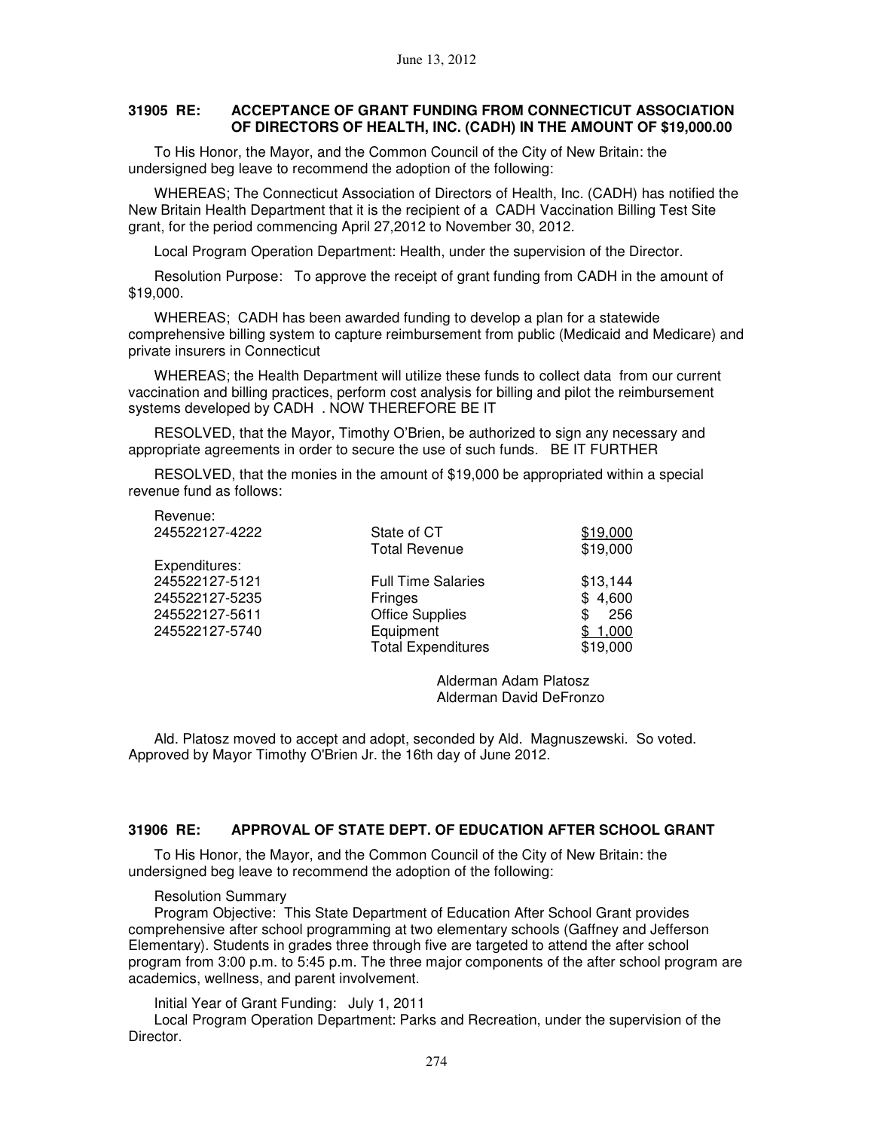### **31905 RE: ACCEPTANCE OF GRANT FUNDING FROM CONNECTICUT ASSOCIATION OF DIRECTORS OF HEALTH, INC. (CADH) IN THE AMOUNT OF \$19,000.00**

To His Honor, the Mayor, and the Common Council of the City of New Britain: the undersigned beg leave to recommend the adoption of the following:

WHEREAS; The Connecticut Association of Directors of Health, Inc. (CADH) has notified the New Britain Health Department that it is the recipient of a CADH Vaccination Billing Test Site grant, for the period commencing April 27,2012 to November 30, 2012.

Local Program Operation Department: Health, under the supervision of the Director.

Resolution Purpose: To approve the receipt of grant funding from CADH in the amount of \$19,000.

WHEREAS; CADH has been awarded funding to develop a plan for a statewide comprehensive billing system to capture reimbursement from public (Medicaid and Medicare) and private insurers in Connecticut

WHEREAS; the Health Department will utilize these funds to collect data from our current vaccination and billing practices, perform cost analysis for billing and pilot the reimbursement systems developed by CADH . NOW THEREFORE BE IT

RESOLVED, that the Mayor, Timothy O'Brien, be authorized to sign any necessary and appropriate agreements in order to secure the use of such funds. BE IT FURTHER

RESOLVED, that the monies in the amount of \$19,000 be appropriated within a special revenue fund as follows:

| .              |                           |           |
|----------------|---------------------------|-----------|
| 245522127-4222 | State of CT               | \$19,000  |
|                | <b>Total Revenue</b>      | \$19,000  |
| Expenditures:  |                           |           |
| 245522127-5121 | <b>Full Time Salaries</b> | \$13,144  |
| 245522127-5235 | Fringes                   | \$4,600   |
| 245522127-5611 | <b>Office Supplies</b>    | 256<br>ß. |
| 245522127-5740 | Equipment                 | \$1,000   |
|                | <b>Total Expenditures</b> | \$19,000  |
|                |                           |           |

Alderman Adam Platosz Alderman David DeFronzo

Ald. Platosz moved to accept and adopt, seconded by Ald. Magnuszewski. So voted. Approved by Mayor Timothy O'Brien Jr. the 16th day of June 2012.

#### **31906 RE: APPROVAL OF STATE DEPT. OF EDUCATION AFTER SCHOOL GRANT**

To His Honor, the Mayor, and the Common Council of the City of New Britain: the undersigned beg leave to recommend the adoption of the following:

#### Resolution Summary

Revenue:

Program Objective: This State Department of Education After School Grant provides comprehensive after school programming at two elementary schools (Gaffney and Jefferson Elementary). Students in grades three through five are targeted to attend the after school program from 3:00 p.m. to 5:45 p.m. The three major components of the after school program are academics, wellness, and parent involvement.

Initial Year of Grant Funding: July 1, 2011

Local Program Operation Department: Parks and Recreation, under the supervision of the Director.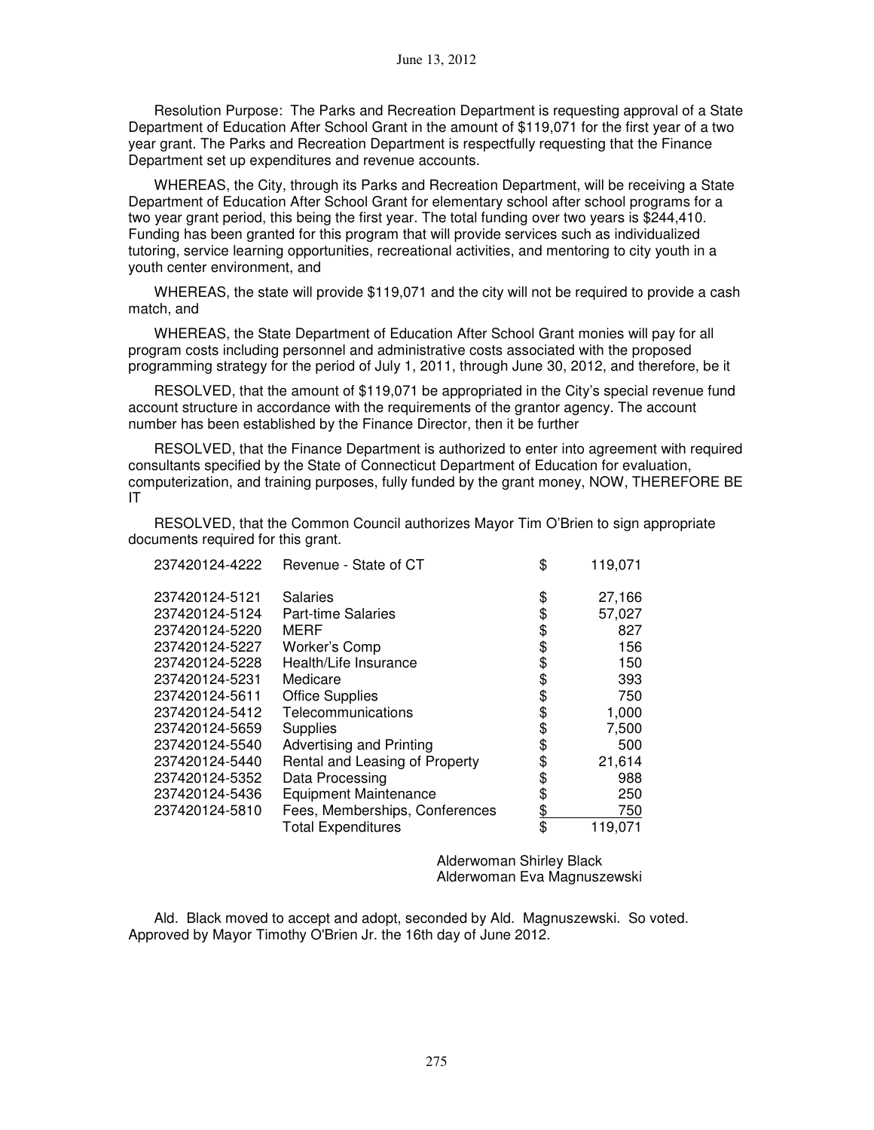Resolution Purpose: The Parks and Recreation Department is requesting approval of a State Department of Education After School Grant in the amount of \$119,071 for the first year of a two year grant. The Parks and Recreation Department is respectfully requesting that the Finance Department set up expenditures and revenue accounts.

WHEREAS, the City, through its Parks and Recreation Department, will be receiving a State Department of Education After School Grant for elementary school after school programs for a two year grant period, this being the first year. The total funding over two years is \$244,410. Funding has been granted for this program that will provide services such as individualized tutoring, service learning opportunities, recreational activities, and mentoring to city youth in a youth center environment, and

WHEREAS, the state will provide \$119,071 and the city will not be required to provide a cash match, and

WHEREAS, the State Department of Education After School Grant monies will pay for all program costs including personnel and administrative costs associated with the proposed programming strategy for the period of July 1, 2011, through June 30, 2012, and therefore, be it

RESOLVED, that the amount of \$119,071 be appropriated in the City's special revenue fund account structure in accordance with the requirements of the grantor agency. The account number has been established by the Finance Director, then it be further

RESOLVED, that the Finance Department is authorized to enter into agreement with required consultants specified by the State of Connecticut Department of Education for evaluation, computerization, and training purposes, fully funded by the grant money, NOW, THEREFORE BE IT

RESOLVED, that the Common Council authorizes Mayor Tim O'Brien to sign appropriate documents required for this grant.

| 237420124-4222 | Revenue - State of CT          | \$        | 119,071 |
|----------------|--------------------------------|-----------|---------|
| 237420124-5121 | Salaries                       | \$        | 27,166  |
| 237420124-5124 | <b>Part-time Salaries</b>      | \$        | 57,027  |
| 237420124-5220 | MERF                           | \$        | 827     |
| 237420124-5227 | Worker's Comp                  | \$        | 156     |
| 237420124-5228 | Health/Life Insurance          | \$        | 150     |
| 237420124-5231 | Medicare                       | \$        | 393     |
| 237420124-5611 | <b>Office Supplies</b>         | \$        | 750     |
| 237420124-5412 | Telecommunications             | \$        | 1,000   |
| 237420124-5659 | <b>Supplies</b>                | \$        | 7,500   |
| 237420124-5540 | Advertising and Printing       | \$        | 500     |
| 237420124-5440 | Rental and Leasing of Property | \$        | 21,614  |
| 237420124-5352 | Data Processing                | \$        | 988     |
| 237420124-5436 | <b>Equipment Maintenance</b>   | \$        | 250     |
| 237420124-5810 | Fees, Memberships, Conferences | <u>\$</u> | 750     |
|                | <b>Total Expenditures</b>      | \$        | 119,071 |

Alderwoman Shirley Black Alderwoman Eva Magnuszewski

Ald. Black moved to accept and adopt, seconded by Ald. Magnuszewski. So voted. Approved by Mayor Timothy O'Brien Jr. the 16th day of June 2012.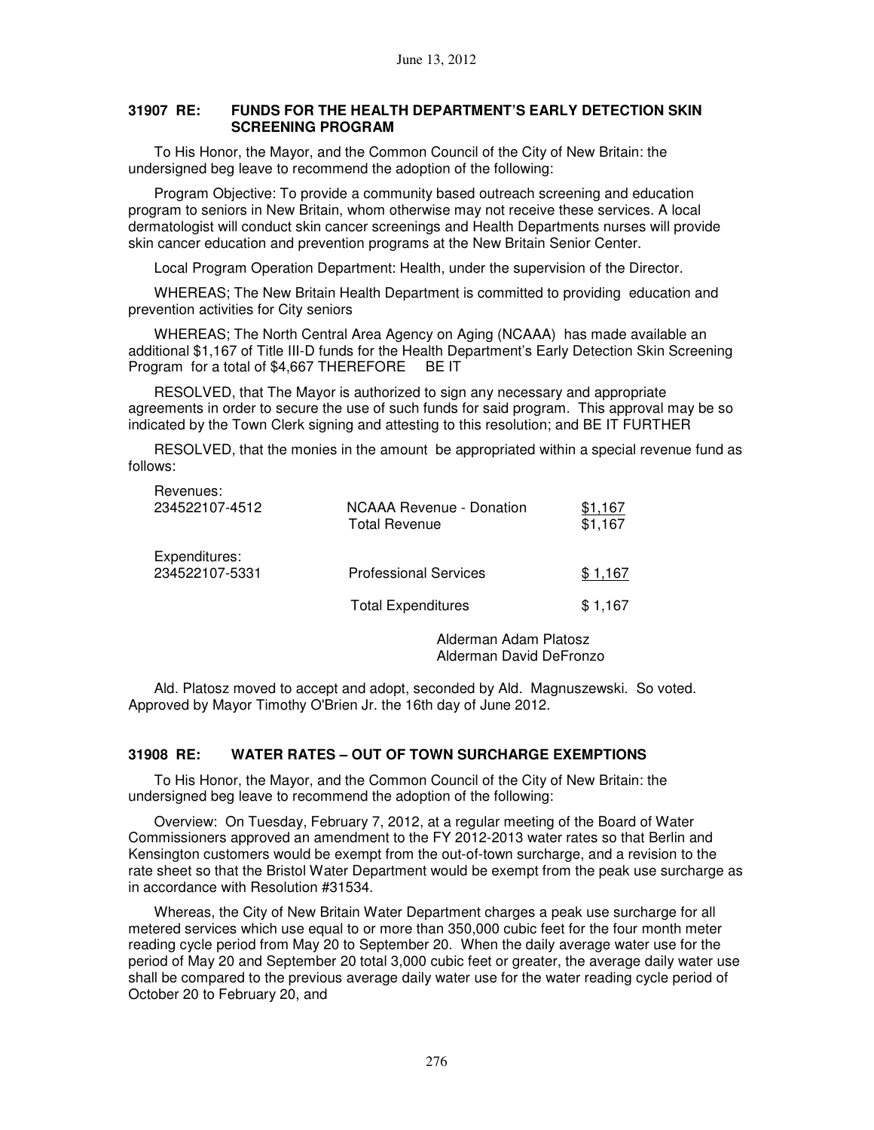### **31907 RE: FUNDS FOR THE HEALTH DEPARTMENT'S EARLY DETECTION SKIN SCREENING PROGRAM**

To His Honor, the Mayor, and the Common Council of the City of New Britain: the undersigned beg leave to recommend the adoption of the following:

Program Objective: To provide a community based outreach screening and education program to seniors in New Britain, whom otherwise may not receive these services. A local dermatologist will conduct skin cancer screenings and Health Departments nurses will provide skin cancer education and prevention programs at the New Britain Senior Center.

Local Program Operation Department: Health, under the supervision of the Director.

WHEREAS; The New Britain Health Department is committed to providing education and prevention activities for City seniors

WHEREAS; The North Central Area Agency on Aging (NCAAA) has made available an additional \$1,167 of Title III-D funds for the Health Department's Early Detection Skin Screening Program for a total of \$4,667 THEREFORE BE IT

RESOLVED, that The Mayor is authorized to sign any necessary and appropriate agreements in order to secure the use of such funds for said program. This approval may be so indicated by the Town Clerk signing and attesting to this resolution; and BE IT FURTHER

RESOLVED, that the monies in the amount be appropriated within a special revenue fund as follows:

| Revenues:<br>234522107-4512     | NCAAA Revenue - Donation<br><b>Total Revenue</b> | \$1,167<br>\$1,167 |
|---------------------------------|--------------------------------------------------|--------------------|
| Expenditures:<br>234522107-5331 | <b>Professional Services</b>                     | \$1,167            |
|                                 | <b>Total Expenditures</b>                        | \$1,167            |
|                                 |                                                  |                    |

Alderman Adam Platosz Alderman David DeFronzo

Ald. Platosz moved to accept and adopt, seconded by Ald. Magnuszewski. So voted. Approved by Mayor Timothy O'Brien Jr. the 16th day of June 2012.

## **31908 RE: WATER RATES – OUT OF TOWN SURCHARGE EXEMPTIONS**

To His Honor, the Mayor, and the Common Council of the City of New Britain: the undersigned beg leave to recommend the adoption of the following:

Overview: On Tuesday, February 7, 2012, at a regular meeting of the Board of Water Commissioners approved an amendment to the FY 2012-2013 water rates so that Berlin and Kensington customers would be exempt from the out-of-town surcharge, and a revision to the rate sheet so that the Bristol Water Department would be exempt from the peak use surcharge as in accordance with Resolution #31534.

Whereas, the City of New Britain Water Department charges a peak use surcharge for all metered services which use equal to or more than 350,000 cubic feet for the four month meter reading cycle period from May 20 to September 20. When the daily average water use for the period of May 20 and September 20 total 3,000 cubic feet or greater, the average daily water use shall be compared to the previous average daily water use for the water reading cycle period of October 20 to February 20, and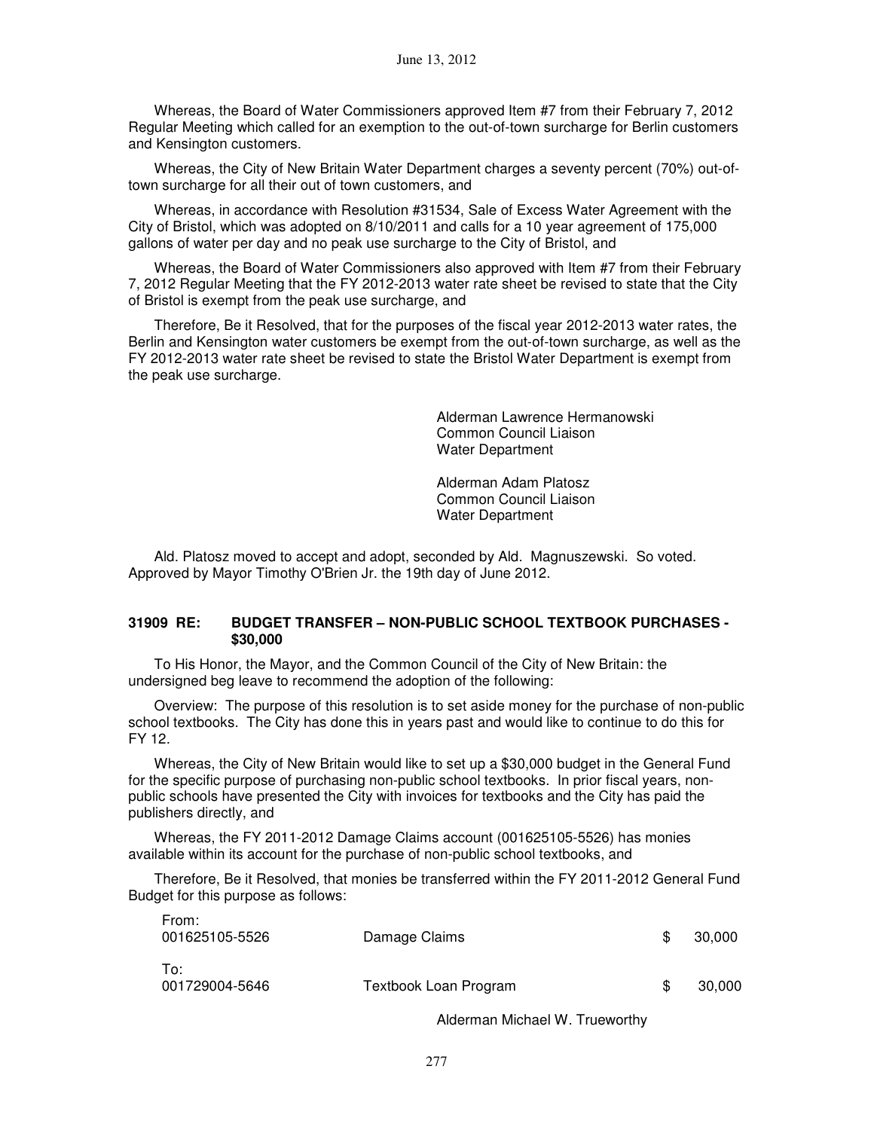Whereas, the Board of Water Commissioners approved Item #7 from their February 7, 2012 Regular Meeting which called for an exemption to the out-of-town surcharge for Berlin customers and Kensington customers.

Whereas, the City of New Britain Water Department charges a seventy percent (70%) out-oftown surcharge for all their out of town customers, and

Whereas, in accordance with Resolution #31534, Sale of Excess Water Agreement with the City of Bristol, which was adopted on 8/10/2011 and calls for a 10 year agreement of 175,000 gallons of water per day and no peak use surcharge to the City of Bristol, and

Whereas, the Board of Water Commissioners also approved with Item #7 from their February 7, 2012 Regular Meeting that the FY 2012-2013 water rate sheet be revised to state that the City of Bristol is exempt from the peak use surcharge, and

Therefore, Be it Resolved, that for the purposes of the fiscal year 2012-2013 water rates, the Berlin and Kensington water customers be exempt from the out-of-town surcharge, as well as the FY 2012-2013 water rate sheet be revised to state the Bristol Water Department is exempt from the peak use surcharge.

> Alderman Lawrence Hermanowski Common Council Liaison Water Department

Alderman Adam Platosz Common Council Liaison Water Department

Ald. Platosz moved to accept and adopt, seconded by Ald. Magnuszewski. So voted. Approved by Mayor Timothy O'Brien Jr. the 19th day of June 2012.

### **31909 RE: BUDGET TRANSFER – NON-PUBLIC SCHOOL TEXTBOOK PURCHASES - \$30,000**

To His Honor, the Mayor, and the Common Council of the City of New Britain: the undersigned beg leave to recommend the adoption of the following:

Overview: The purpose of this resolution is to set aside money for the purchase of non-public school textbooks. The City has done this in years past and would like to continue to do this for FY 12.

Whereas, the City of New Britain would like to set up a \$30,000 budget in the General Fund for the specific purpose of purchasing non-public school textbooks. In prior fiscal years, nonpublic schools have presented the City with invoices for textbooks and the City has paid the publishers directly, and

Whereas, the FY 2011-2012 Damage Claims account (001625105-5526) has monies available within its account for the purchase of non-public school textbooks, and

From:

Therefore, Be it Resolved, that monies be transferred within the FY 2011-2012 General Fund Budget for this purpose as follows:

| <b>FIUIII.</b><br>001625105-5526 | Damage Claims         | 30.000 |
|----------------------------------|-----------------------|--------|
| To:<br>001729004-5646            | Textbook Loan Program | 30,000 |

Alderman Michael W. Trueworthy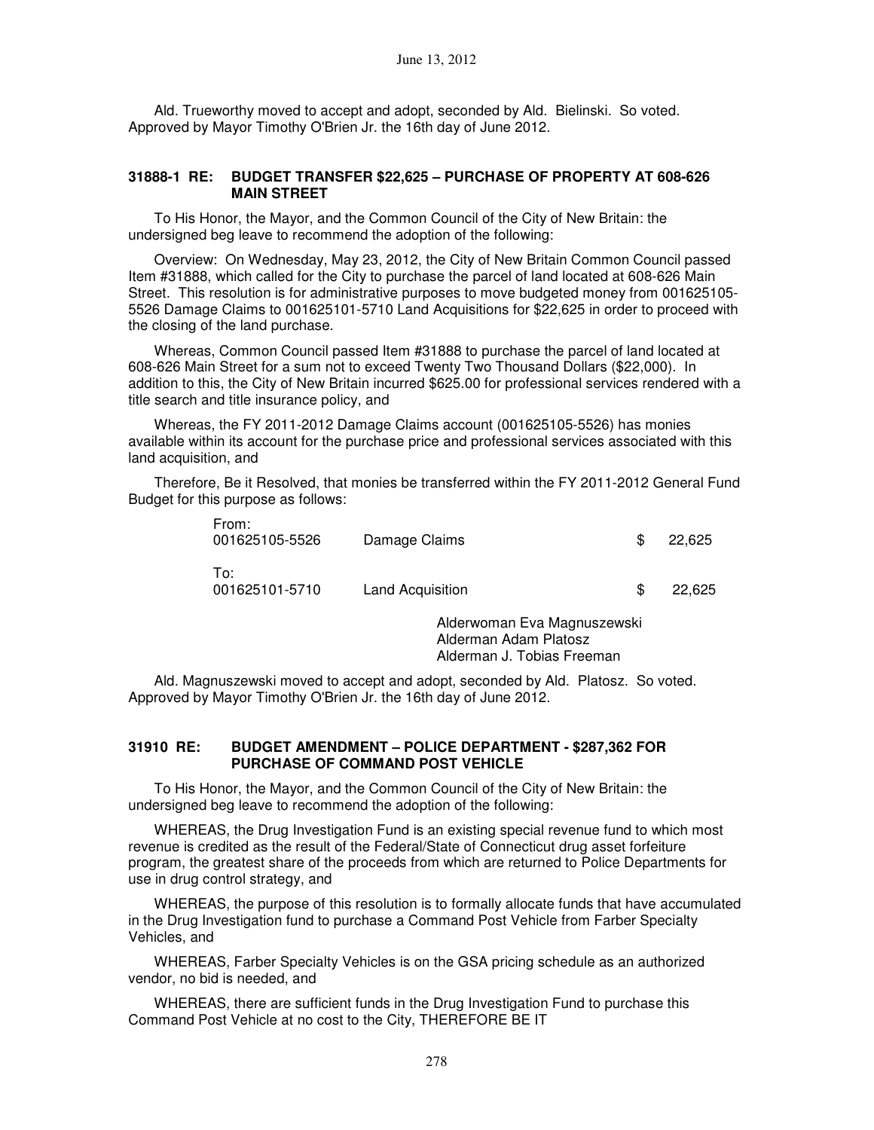Ald. Trueworthy moved to accept and adopt, seconded by Ald. Bielinski. So voted. Approved by Mayor Timothy O'Brien Jr. the 16th day of June 2012.

#### **31888-1 RE: BUDGET TRANSFER \$22,625 – PURCHASE OF PROPERTY AT 608-626 MAIN STREET**

To His Honor, the Mayor, and the Common Council of the City of New Britain: the undersigned beg leave to recommend the adoption of the following:

Overview: On Wednesday, May 23, 2012, the City of New Britain Common Council passed Item #31888, which called for the City to purchase the parcel of land located at 608-626 Main Street. This resolution is for administrative purposes to move budgeted money from 001625105- 5526 Damage Claims to 001625101-5710 Land Acquisitions for \$22,625 in order to proceed with the closing of the land purchase.

Whereas, Common Council passed Item #31888 to purchase the parcel of land located at 608-626 Main Street for a sum not to exceed Twenty Two Thousand Dollars (\$22,000). In addition to this, the City of New Britain incurred \$625.00 for professional services rendered with a title search and title insurance policy, and

Whereas, the FY 2011-2012 Damage Claims account (001625105-5526) has monies available within its account for the purchase price and professional services associated with this land acquisition, and

Therefore, Be it Resolved, that monies be transferred within the FY 2011-2012 General Fund Budget for this purpose as follows:

| From:<br>001625105-5526 | Damage Claims    | 22.625 |
|-------------------------|------------------|--------|
| To:<br>001625101-5710   | Land Acquisition | 22.625 |

Alderwoman Eva Magnuszewski Alderman Adam Platosz Alderman J. Tobias Freeman

Ald. Magnuszewski moved to accept and adopt, seconded by Ald. Platosz. So voted. Approved by Mayor Timothy O'Brien Jr. the 16th day of June 2012.

### **31910 RE: BUDGET AMENDMENT – POLICE DEPARTMENT - \$287,362 FOR PURCHASE OF COMMAND POST VEHICLE**

To His Honor, the Mayor, and the Common Council of the City of New Britain: the undersigned beg leave to recommend the adoption of the following:

WHEREAS, the Drug Investigation Fund is an existing special revenue fund to which most revenue is credited as the result of the Federal/State of Connecticut drug asset forfeiture program, the greatest share of the proceeds from which are returned to Police Departments for use in drug control strategy, and

WHEREAS, the purpose of this resolution is to formally allocate funds that have accumulated in the Drug Investigation fund to purchase a Command Post Vehicle from Farber Specialty Vehicles, and

WHEREAS, Farber Specialty Vehicles is on the GSA pricing schedule as an authorized vendor, no bid is needed, and

WHEREAS, there are sufficient funds in the Drug Investigation Fund to purchase this Command Post Vehicle at no cost to the City, THEREFORE BE IT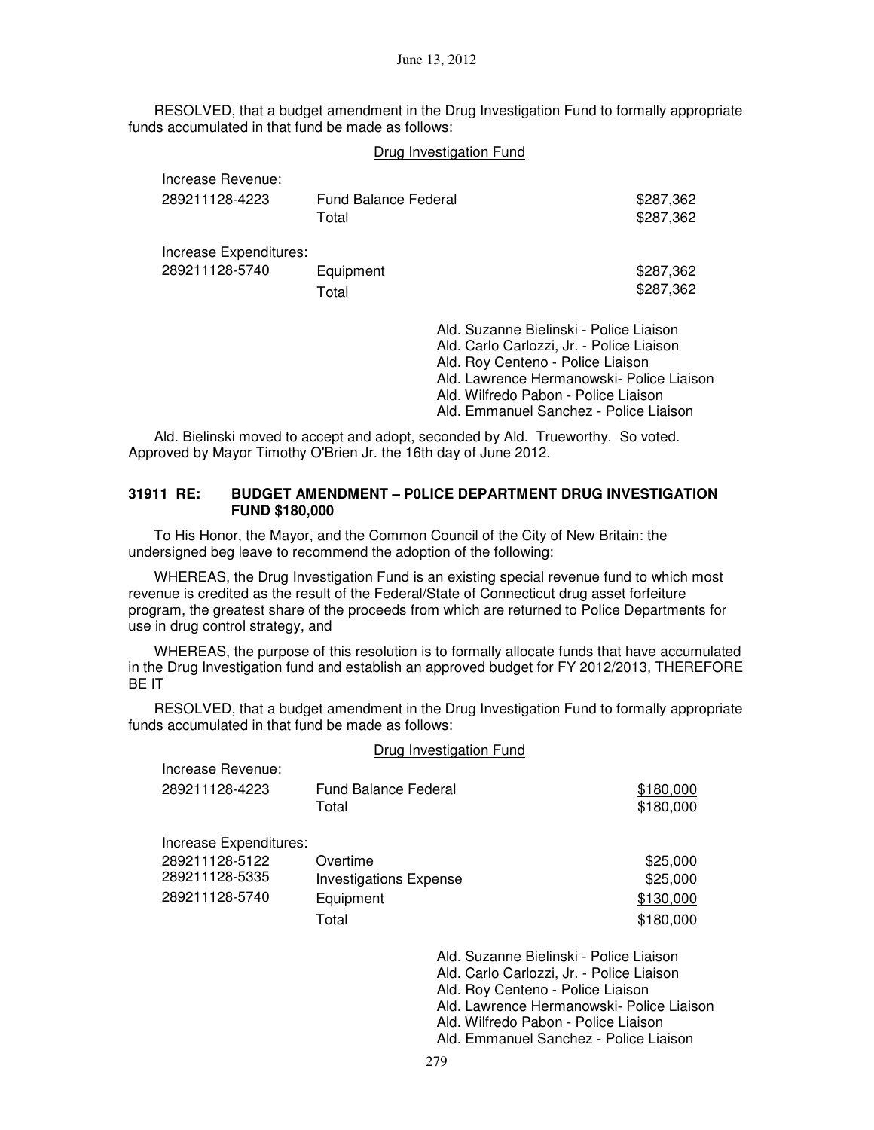RESOLVED, that a budget amendment in the Drug Investigation Fund to formally appropriate funds accumulated in that fund be made as follows:

|                        |                      | Drug Investigation Fund                                                                                                                                                                                                                                  |           |
|------------------------|----------------------|----------------------------------------------------------------------------------------------------------------------------------------------------------------------------------------------------------------------------------------------------------|-----------|
| Increase Revenue:      | Fund Balance Federal |                                                                                                                                                                                                                                                          | \$287,362 |
| 289211128-4223         | Total                |                                                                                                                                                                                                                                                          | \$287,362 |
| Increase Expenditures: | Equipment            |                                                                                                                                                                                                                                                          | \$287,362 |
| 289211128-5740         | Total                |                                                                                                                                                                                                                                                          | \$287,362 |
|                        |                      | Ald. Suzanne Bielinski - Police Liaison<br>Ald. Carlo Carlozzi, Jr. - Police Liaison<br>Ald. Roy Centeno - Police Liaison<br>Ald. Lawrence Hermanowski- Police Liaison<br>Ald. Wilfredo Pabon - Police Liaison<br>Ald. Emmanuel Sanchez - Police Liaison |           |

Ald. Bielinski moved to accept and adopt, seconded by Ald. Trueworthy. So voted. Approved by Mayor Timothy O'Brien Jr. the 16th day of June 2012.

### **31911 RE: BUDGET AMENDMENT – P0LICE DEPARTMENT DRUG INVESTIGATION FUND \$180,000**

To His Honor, the Mayor, and the Common Council of the City of New Britain: the undersigned beg leave to recommend the adoption of the following:

WHEREAS, the Drug Investigation Fund is an existing special revenue fund to which most revenue is credited as the result of the Federal/State of Connecticut drug asset forfeiture program, the greatest share of the proceeds from which are returned to Police Departments for use in drug control strategy, and

WHEREAS, the purpose of this resolution is to formally allocate funds that have accumulated in the Drug Investigation fund and establish an approved budget for FY 2012/2013, THEREFORE BE IT

RESOLVED, that a budget amendment in the Drug Investigation Fund to formally appropriate funds accumulated in that fund be made as follows:

### Drug Investigation Fund

| Increase Revenue:      | <b>Fund Balance Federal</b>   |                                                                                                                                                                                                                | \$180,000 |
|------------------------|-------------------------------|----------------------------------------------------------------------------------------------------------------------------------------------------------------------------------------------------------------|-----------|
| 289211128-4223         | Total                         |                                                                                                                                                                                                                | \$180,000 |
| Increase Expenditures: | Overtime                      |                                                                                                                                                                                                                | \$25,000  |
| 289211128-5122         | <b>Investigations Expense</b> |                                                                                                                                                                                                                | \$25,000  |
| 289211128-5335         | Equipment                     |                                                                                                                                                                                                                | \$130,000 |
| 289211128-5740         | Total                         |                                                                                                                                                                                                                | \$180,000 |
|                        |                               | Ald. Suzanne Bielinski - Police Liaison<br>Ald. Carlo Carlozzi, Jr. - Police Liaison<br>Ald. Roy Centeno - Police Liaison<br>Ald. Lawrence Hermanowski- Police Liaison<br>Ald. Wilfredo Pabon - Police Liaison |           |

Ald. Emmanuel Sanchez - Police Liaison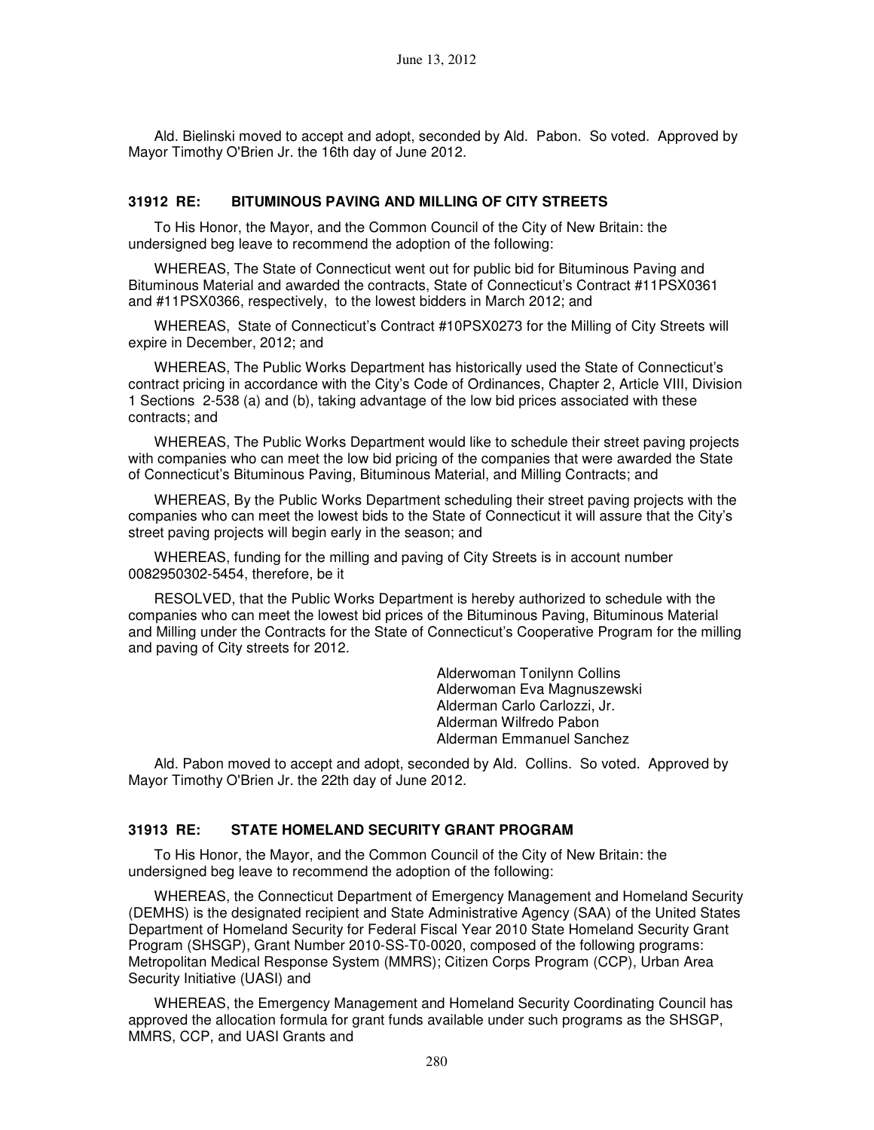Ald. Bielinski moved to accept and adopt, seconded by Ald. Pabon. So voted. Approved by Mayor Timothy O'Brien Jr. the 16th day of June 2012.

#### **31912 RE: BITUMINOUS PAVING AND MILLING OF CITY STREETS**

To His Honor, the Mayor, and the Common Council of the City of New Britain: the undersigned beg leave to recommend the adoption of the following:

WHEREAS, The State of Connecticut went out for public bid for Bituminous Paving and Bituminous Material and awarded the contracts, State of Connecticut's Contract #11PSX0361 and #11PSX0366, respectively, to the lowest bidders in March 2012; and

WHEREAS, State of Connecticut's Contract #10PSX0273 for the Milling of City Streets will expire in December, 2012; and

WHEREAS, The Public Works Department has historically used the State of Connecticut's contract pricing in accordance with the City's Code of Ordinances, Chapter 2, Article VIII, Division 1 Sections 2-538 (a) and (b), taking advantage of the low bid prices associated with these contracts; and

WHEREAS, The Public Works Department would like to schedule their street paving projects with companies who can meet the low bid pricing of the companies that were awarded the State of Connecticut's Bituminous Paving, Bituminous Material, and Milling Contracts; and

WHEREAS, By the Public Works Department scheduling their street paving projects with the companies who can meet the lowest bids to the State of Connecticut it will assure that the City's street paving projects will begin early in the season; and

WHEREAS, funding for the milling and paving of City Streets is in account number 0082950302-5454, therefore, be it

RESOLVED, that the Public Works Department is hereby authorized to schedule with the companies who can meet the lowest bid prices of the Bituminous Paving, Bituminous Material and Milling under the Contracts for the State of Connecticut's Cooperative Program for the milling and paving of City streets for 2012.

> Alderwoman Tonilynn Collins Alderwoman Eva Magnuszewski Alderman Carlo Carlozzi, Jr. Alderman Wilfredo Pabon Alderman Emmanuel Sanchez

Ald. Pabon moved to accept and adopt, seconded by Ald. Collins. So voted. Approved by Mayor Timothy O'Brien Jr. the 22th day of June 2012.

#### **31913 RE: STATE HOMELAND SECURITY GRANT PROGRAM**

To His Honor, the Mayor, and the Common Council of the City of New Britain: the undersigned beg leave to recommend the adoption of the following:

WHEREAS, the Connecticut Department of Emergency Management and Homeland Security (DEMHS) is the designated recipient and State Administrative Agency (SAA) of the United States Department of Homeland Security for Federal Fiscal Year 2010 State Homeland Security Grant Program (SHSGP), Grant Number 2010-SS-T0-0020, composed of the following programs: Metropolitan Medical Response System (MMRS); Citizen Corps Program (CCP), Urban Area Security Initiative (UASI) and

WHEREAS, the Emergency Management and Homeland Security Coordinating Council has approved the allocation formula for grant funds available under such programs as the SHSGP, MMRS, CCP, and UASI Grants and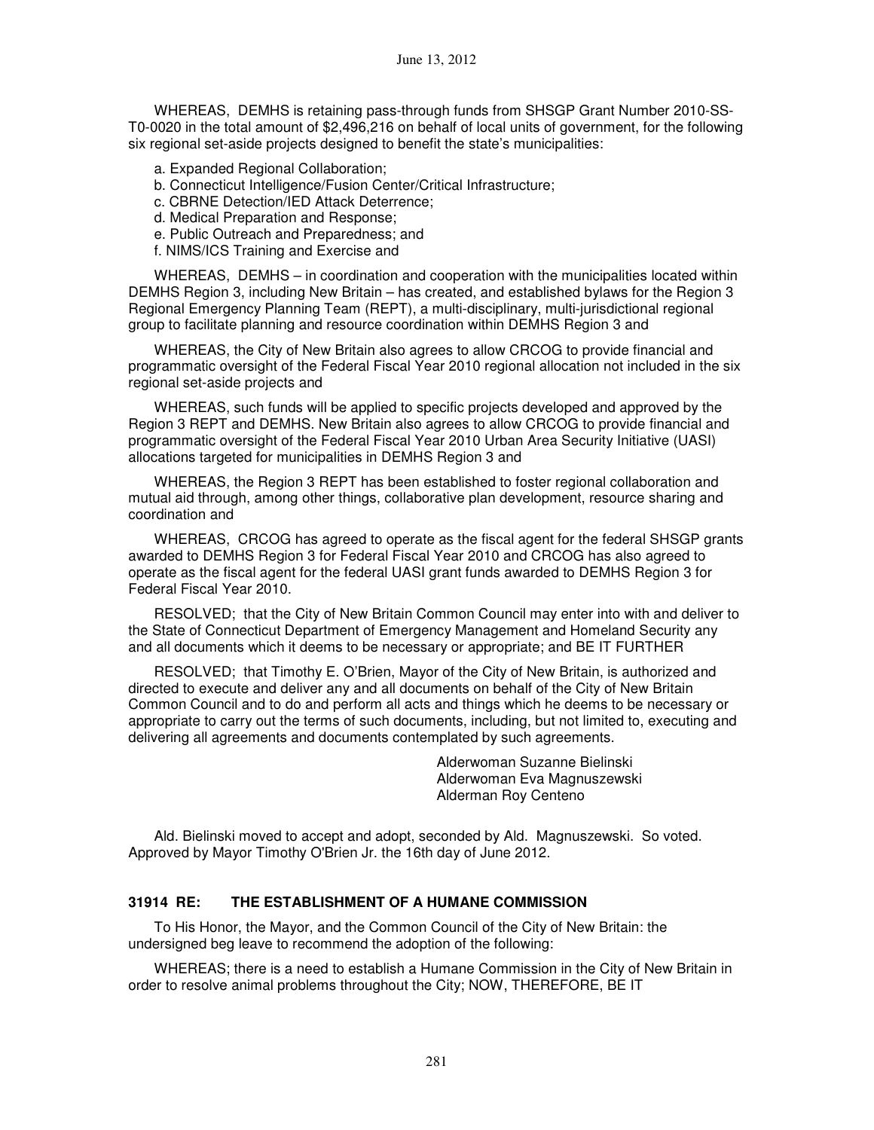WHEREAS, DEMHS is retaining pass-through funds from SHSGP Grant Number 2010-SS-T0-0020 in the total amount of \$2,496,216 on behalf of local units of government, for the following six regional set-aside projects designed to benefit the state's municipalities:

- a. Expanded Regional Collaboration;
- b. Connecticut Intelligence/Fusion Center/Critical Infrastructure;
- c. CBRNE Detection/IED Attack Deterrence;
- d. Medical Preparation and Response;
- e. Public Outreach and Preparedness; and
- f. NIMS/ICS Training and Exercise and

WHEREAS, DEMHS – in coordination and cooperation with the municipalities located within DEMHS Region 3, including New Britain – has created, and established bylaws for the Region 3 Regional Emergency Planning Team (REPT), a multi-disciplinary, multi-jurisdictional regional group to facilitate planning and resource coordination within DEMHS Region 3 and

WHEREAS, the City of New Britain also agrees to allow CRCOG to provide financial and programmatic oversight of the Federal Fiscal Year 2010 regional allocation not included in the six regional set-aside projects and

WHEREAS, such funds will be applied to specific projects developed and approved by the Region 3 REPT and DEMHS. New Britain also agrees to allow CRCOG to provide financial and programmatic oversight of the Federal Fiscal Year 2010 Urban Area Security Initiative (UASI) allocations targeted for municipalities in DEMHS Region 3 and

WHEREAS, the Region 3 REPT has been established to foster regional collaboration and mutual aid through, among other things, collaborative plan development, resource sharing and coordination and

WHEREAS, CRCOG has agreed to operate as the fiscal agent for the federal SHSGP grants awarded to DEMHS Region 3 for Federal Fiscal Year 2010 and CRCOG has also agreed to operate as the fiscal agent for the federal UASI grant funds awarded to DEMHS Region 3 for Federal Fiscal Year 2010.

RESOLVED; that the City of New Britain Common Council may enter into with and deliver to the State of Connecticut Department of Emergency Management and Homeland Security any and all documents which it deems to be necessary or appropriate; and BE IT FURTHER

RESOLVED; that Timothy E. O'Brien, Mayor of the City of New Britain, is authorized and directed to execute and deliver any and all documents on behalf of the City of New Britain Common Council and to do and perform all acts and things which he deems to be necessary or appropriate to carry out the terms of such documents, including, but not limited to, executing and delivering all agreements and documents contemplated by such agreements.

> Alderwoman Suzanne Bielinski Alderwoman Eva Magnuszewski Alderman Roy Centeno

Ald. Bielinski moved to accept and adopt, seconded by Ald. Magnuszewski. So voted. Approved by Mayor Timothy O'Brien Jr. the 16th day of June 2012.

## **31914 RE: THE ESTABLISHMENT OF A HUMANE COMMISSION**

To His Honor, the Mayor, and the Common Council of the City of New Britain: the undersigned beg leave to recommend the adoption of the following:

WHEREAS; there is a need to establish a Humane Commission in the City of New Britain in order to resolve animal problems throughout the City; NOW, THEREFORE, BE IT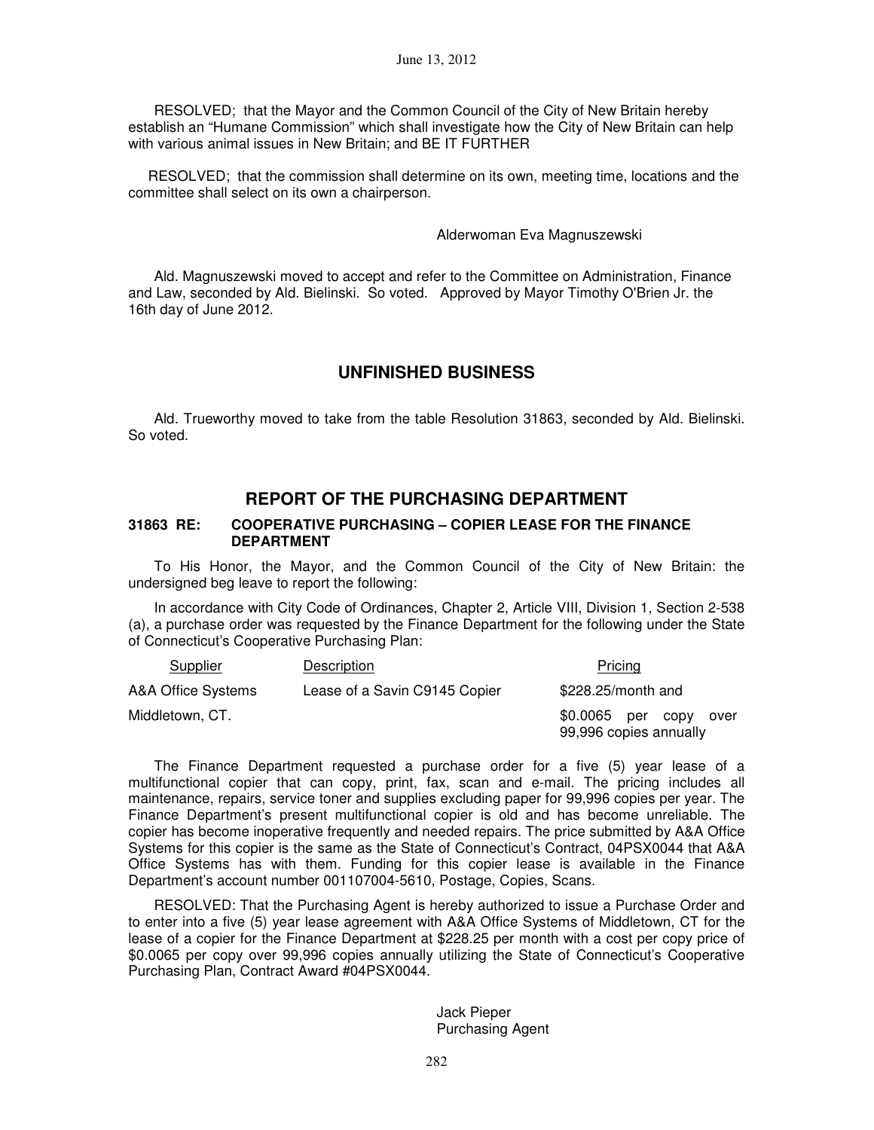RESOLVED; that the Mayor and the Common Council of the City of New Britain hereby establish an "Humane Commission" which shall investigate how the City of New Britain can help with various animal issues in New Britain; and BE IT FURTHER

 RESOLVED; that the commission shall determine on its own, meeting time, locations and the committee shall select on its own a chairperson.

#### Alderwoman Eva Magnuszewski

Ald. Magnuszewski moved to accept and refer to the Committee on Administration, Finance and Law, seconded by Ald. Bielinski. So voted. Approved by Mayor Timothy O'Brien Jr. the 16th day of June 2012.

## **UNFINISHED BUSINESS**

Ald. Trueworthy moved to take from the table Resolution 31863, seconded by Ald. Bielinski. So voted.

## **REPORT OF THE PURCHASING DEPARTMENT**

#### **31863 RE: COOPERATIVE PURCHASING – COPIER LEASE FOR THE FINANCE DEPARTMENT**

To His Honor, the Mayor, and the Common Council of the City of New Britain: the undersigned beg leave to report the following:

In accordance with City Code of Ordinances, Chapter 2, Article VIII, Division 1, Section 2-538 (a), a purchase order was requested by the Finance Department for the following under the State of Connecticut's Cooperative Purchasing Plan:

| Supplier           | Description                   | Pricing                                             |
|--------------------|-------------------------------|-----------------------------------------------------|
| A&A Office Systems | Lease of a Savin C9145 Copier | \$228.25/month and                                  |
| Middletown, CT.    |                               | \$0.0065 per copy<br>over<br>99,996 copies annually |

The Finance Department requested a purchase order for a five (5) year lease of a multifunctional copier that can copy, print, fax, scan and e-mail. The pricing includes all maintenance, repairs, service toner and supplies excluding paper for 99,996 copies per year. The Finance Department's present multifunctional copier is old and has become unreliable. The copier has become inoperative frequently and needed repairs. The price submitted by A&A Office Systems for this copier is the same as the State of Connecticut's Contract, 04PSX0044 that A&A Office Systems has with them. Funding for this copier lease is available in the Finance Department's account number 001107004-5610, Postage, Copies, Scans.

RESOLVED: That the Purchasing Agent is hereby authorized to issue a Purchase Order and to enter into a five (5) year lease agreement with A&A Office Systems of Middletown, CT for the lease of a copier for the Finance Department at \$228.25 per month with a cost per copy price of \$0.0065 per copy over 99,996 copies annually utilizing the State of Connecticut's Cooperative Purchasing Plan, Contract Award #04PSX0044.

> Jack Pieper Purchasing Agent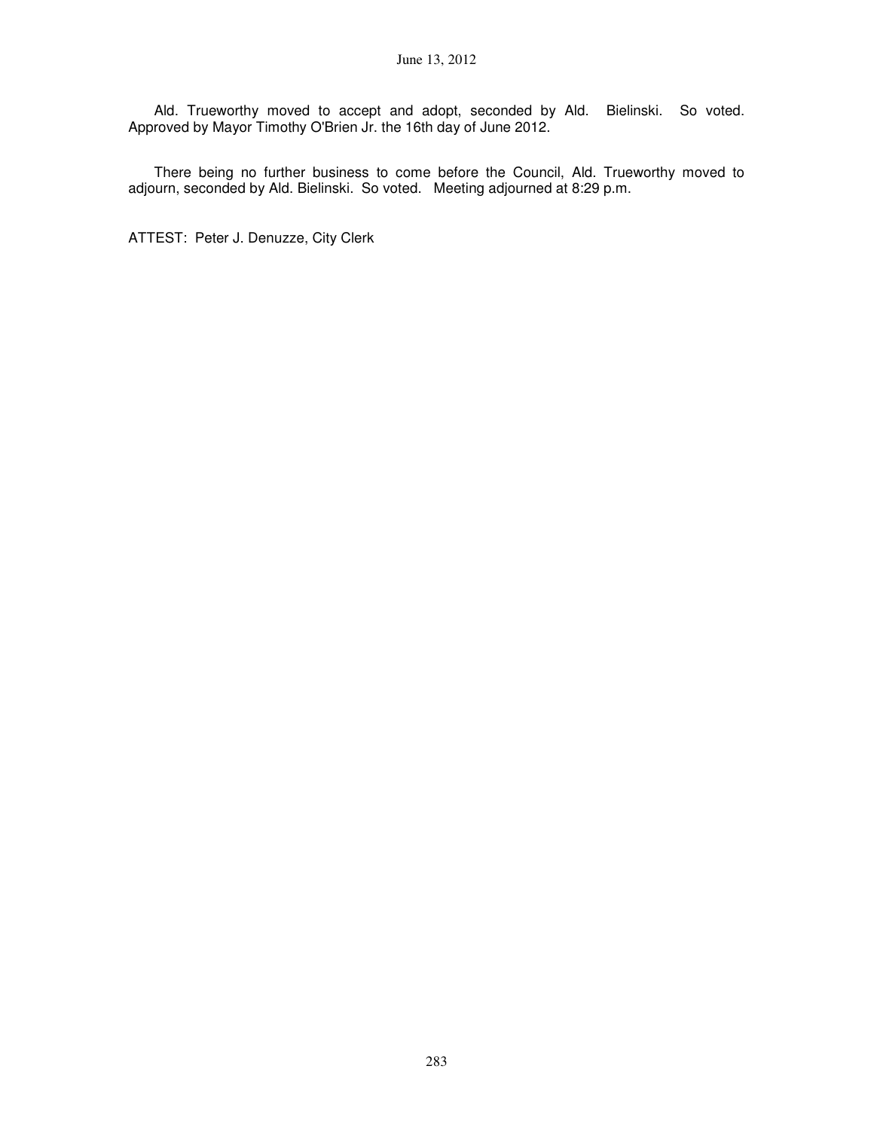Ald. Trueworthy moved to accept and adopt, seconded by Ald. Bielinski. So voted. Approved by Mayor Timothy O'Brien Jr. the 16th day of June 2012.

There being no further business to come before the Council, Ald. Trueworthy moved to adjourn, seconded by Ald. Bielinski. So voted. Meeting adjourned at 8:29 p.m.

ATTEST: Peter J. Denuzze, City Clerk